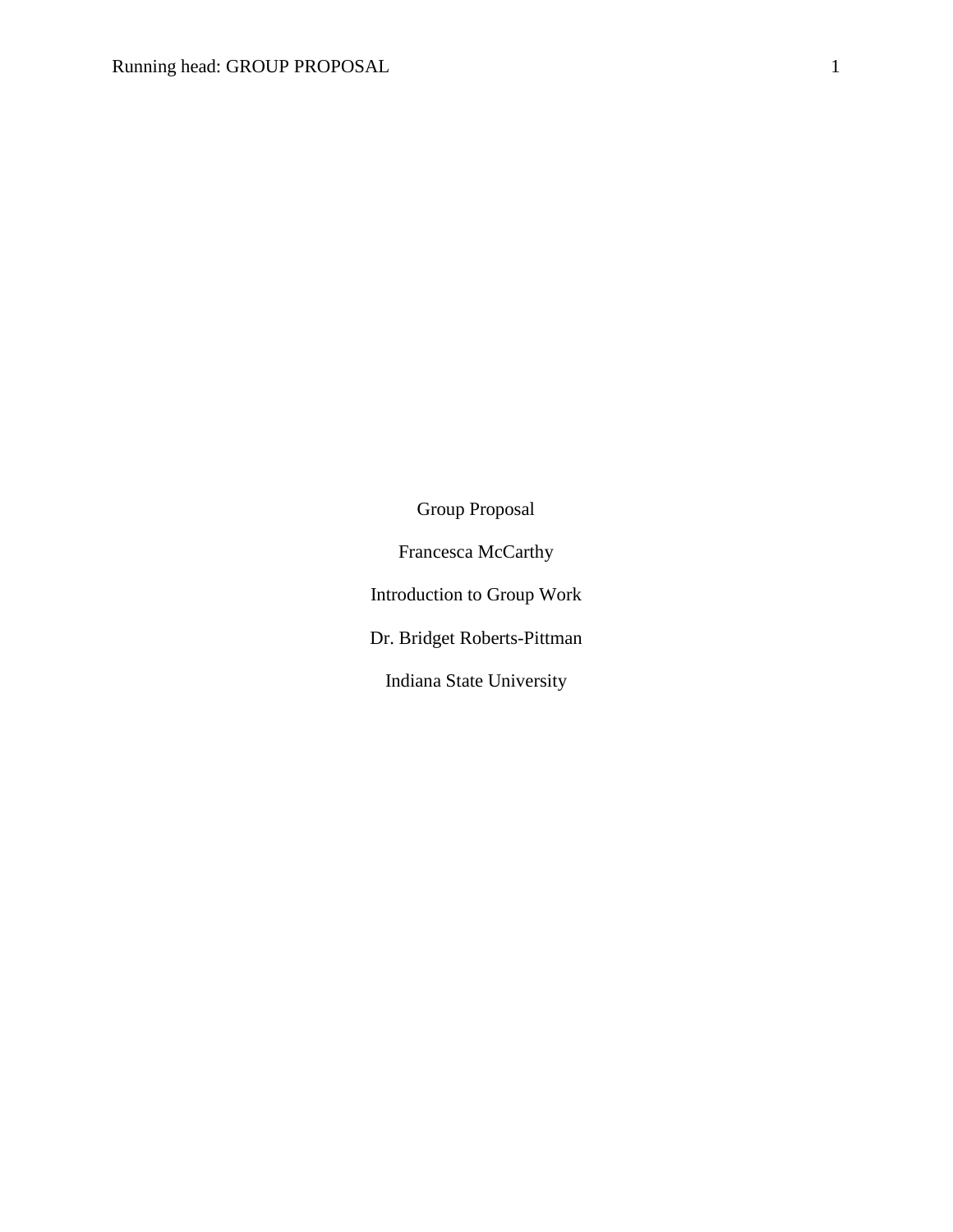Group Proposal Francesca McCarthy Introduction to Group Work Dr. Bridget Roberts-Pittman Indiana State University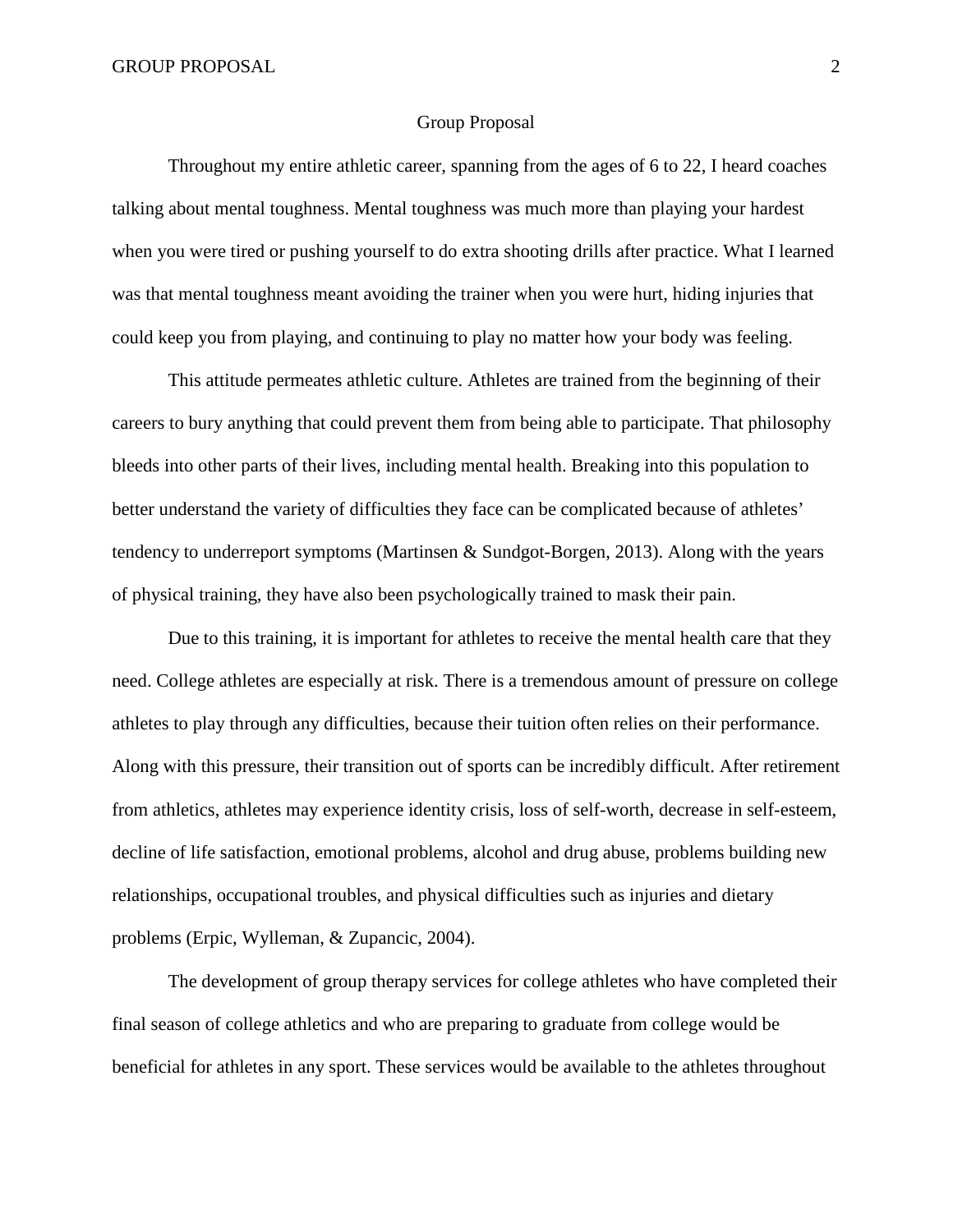#### Group Proposal

Throughout my entire athletic career, spanning from the ages of 6 to 22, I heard coaches talking about mental toughness. Mental toughness was much more than playing your hardest when you were tired or pushing yourself to do extra shooting drills after practice. What I learned was that mental toughness meant avoiding the trainer when you were hurt, hiding injuries that could keep you from playing, and continuing to play no matter how your body was feeling.

This attitude permeates athletic culture. Athletes are trained from the beginning of their careers to bury anything that could prevent them from being able to participate. That philosophy bleeds into other parts of their lives, including mental health. Breaking into this population to better understand the variety of difficulties they face can be complicated because of athletes' tendency to underreport symptoms (Martinsen & Sundgot-Borgen, 2013). Along with the years of physical training, they have also been psychologically trained to mask their pain.

Due to this training, it is important for athletes to receive the mental health care that they need. College athletes are especially at risk. There is a tremendous amount of pressure on college athletes to play through any difficulties, because their tuition often relies on their performance. Along with this pressure, their transition out of sports can be incredibly difficult. After retirement from athletics, athletes may experience identity crisis, loss of self-worth, decrease in self-esteem, decline of life satisfaction, emotional problems, alcohol and drug abuse, problems building new relationships, occupational troubles, and physical difficulties such as injuries and dietary problems (Erpic, Wylleman, & Zupancic, 2004).

The development of group therapy services for college athletes who have completed their final season of college athletics and who are preparing to graduate from college would be beneficial for athletes in any sport. These services would be available to the athletes throughout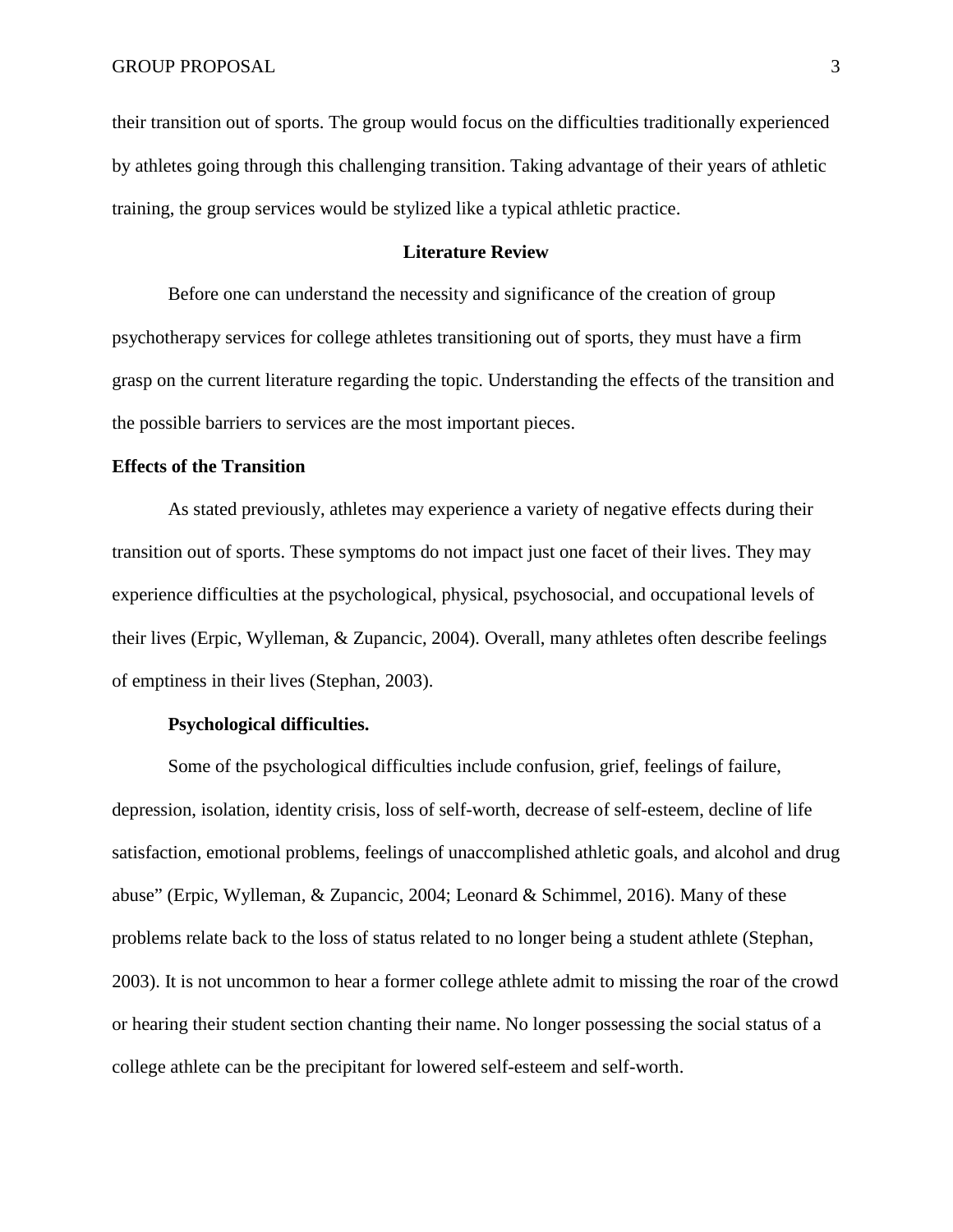their transition out of sports. The group would focus on the difficulties traditionally experienced by athletes going through this challenging transition. Taking advantage of their years of athletic training, the group services would be stylized like a typical athletic practice.

# **Literature Review**

Before one can understand the necessity and significance of the creation of group psychotherapy services for college athletes transitioning out of sports, they must have a firm grasp on the current literature regarding the topic. Understanding the effects of the transition and the possible barriers to services are the most important pieces.

### **Effects of the Transition**

As stated previously, athletes may experience a variety of negative effects during their transition out of sports. These symptoms do not impact just one facet of their lives. They may experience difficulties at the psychological, physical, psychosocial, and occupational levels of their lives (Erpic, Wylleman, & Zupancic, 2004). Overall, many athletes often describe feelings of emptiness in their lives (Stephan, 2003).

#### **Psychological difficulties.**

Some of the psychological difficulties include confusion, grief, feelings of failure, depression, isolation, identity crisis, loss of self-worth, decrease of self-esteem, decline of life satisfaction, emotional problems, feelings of unaccomplished athletic goals, and alcohol and drug abuse" (Erpic, Wylleman, & Zupancic, 2004; Leonard & Schimmel, 2016). Many of these problems relate back to the loss of status related to no longer being a student athlete (Stephan, 2003). It is not uncommon to hear a former college athlete admit to missing the roar of the crowd or hearing their student section chanting their name. No longer possessing the social status of a college athlete can be the precipitant for lowered self-esteem and self-worth.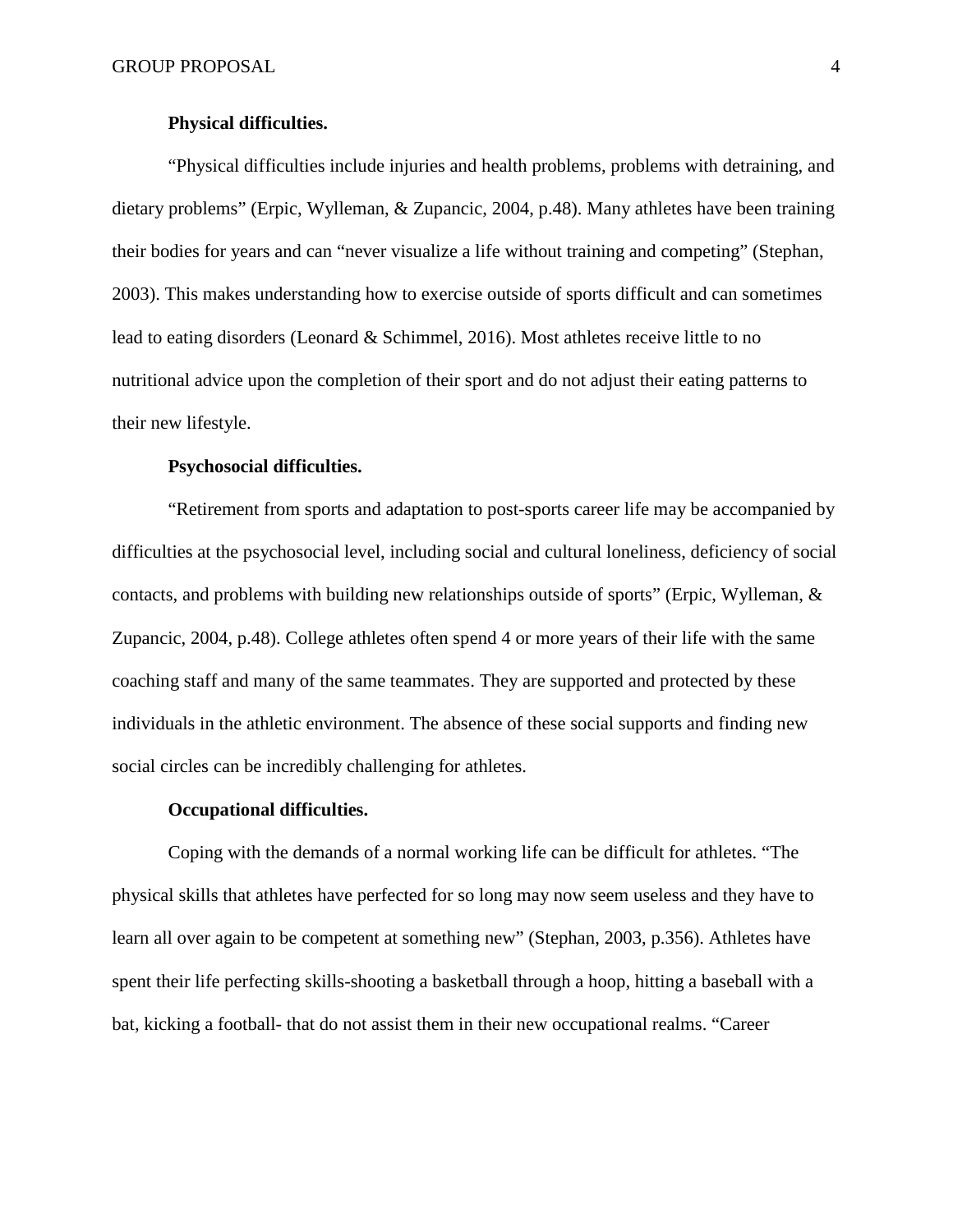### **Physical difficulties.**

"Physical difficulties include injuries and health problems, problems with detraining, and dietary problems" (Erpic, Wylleman, & Zupancic, 2004, p.48). Many athletes have been training their bodies for years and can "never visualize a life without training and competing" (Stephan, 2003). This makes understanding how to exercise outside of sports difficult and can sometimes lead to eating disorders (Leonard & Schimmel, 2016). Most athletes receive little to no nutritional advice upon the completion of their sport and do not adjust their eating patterns to their new lifestyle.

### **Psychosocial difficulties.**

"Retirement from sports and adaptation to post-sports career life may be accompanied by difficulties at the psychosocial level, including social and cultural loneliness, deficiency of social contacts, and problems with building new relationships outside of sports" (Erpic, Wylleman, & Zupancic, 2004, p.48). College athletes often spend 4 or more years of their life with the same coaching staff and many of the same teammates. They are supported and protected by these individuals in the athletic environment. The absence of these social supports and finding new social circles can be incredibly challenging for athletes.

#### **Occupational difficulties.**

Coping with the demands of a normal working life can be difficult for athletes. "The physical skills that athletes have perfected for so long may now seem useless and they have to learn all over again to be competent at something new" (Stephan, 2003, p.356). Athletes have spent their life perfecting skills-shooting a basketball through a hoop, hitting a baseball with a bat, kicking a football- that do not assist them in their new occupational realms. "Career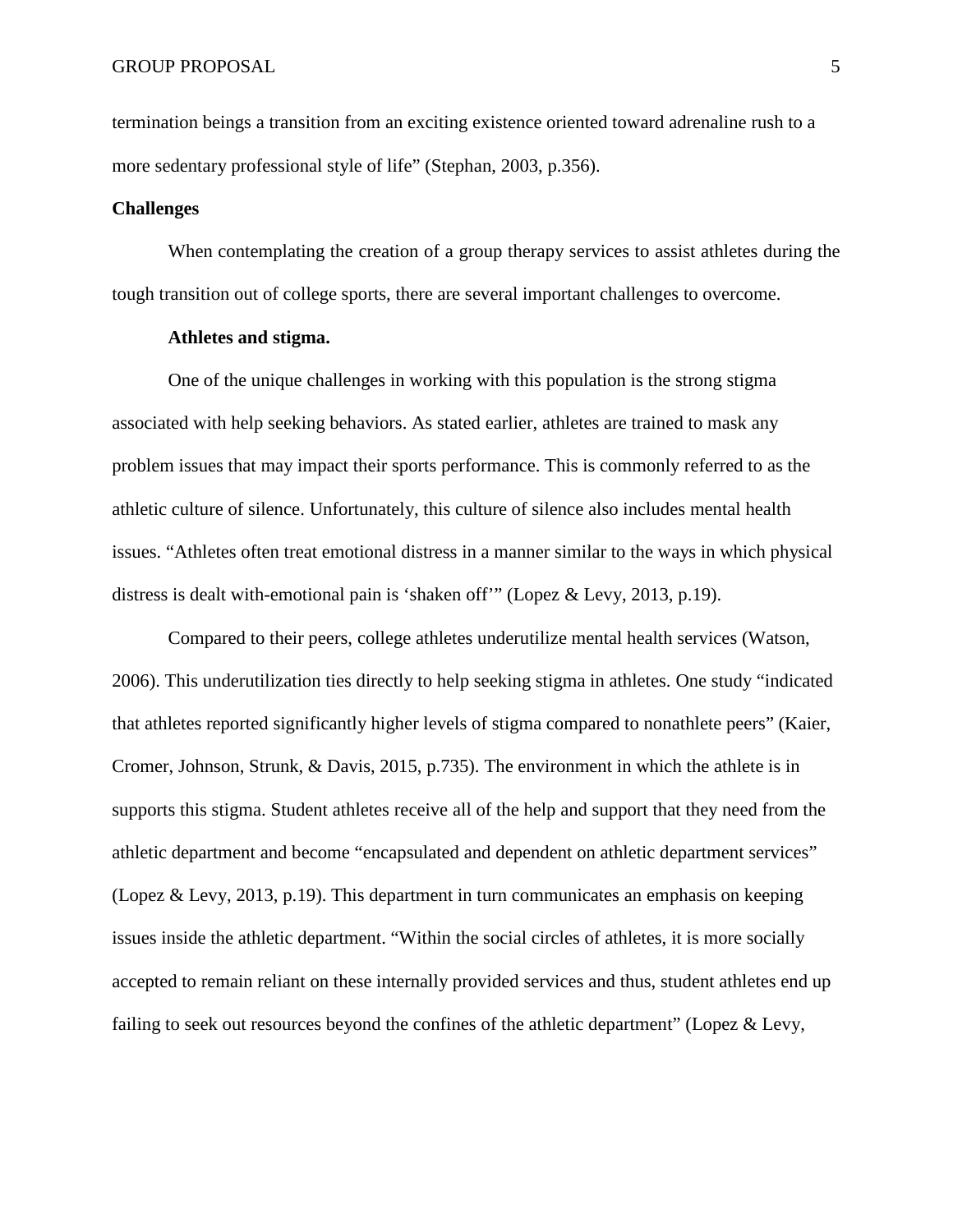termination beings a transition from an exciting existence oriented toward adrenaline rush to a more sedentary professional style of life" (Stephan, 2003, p.356).

### **Challenges**

When contemplating the creation of a group therapy services to assist athletes during the tough transition out of college sports, there are several important challenges to overcome.

## **Athletes and stigma.**

One of the unique challenges in working with this population is the strong stigma associated with help seeking behaviors. As stated earlier, athletes are trained to mask any problem issues that may impact their sports performance. This is commonly referred to as the athletic culture of silence. Unfortunately, this culture of silence also includes mental health issues. "Athletes often treat emotional distress in a manner similar to the ways in which physical distress is dealt with-emotional pain is 'shaken off'" (Lopez & Levy, 2013, p.19).

Compared to their peers, college athletes underutilize mental health services (Watson, 2006). This underutilization ties directly to help seeking stigma in athletes. One study "indicated that athletes reported significantly higher levels of stigma compared to nonathlete peers" (Kaier, Cromer, Johnson, Strunk, & Davis, 2015, p.735). The environment in which the athlete is in supports this stigma. Student athletes receive all of the help and support that they need from the athletic department and become "encapsulated and dependent on athletic department services" (Lopez & Levy, 2013, p.19). This department in turn communicates an emphasis on keeping issues inside the athletic department. "Within the social circles of athletes, it is more socially accepted to remain reliant on these internally provided services and thus, student athletes end up failing to seek out resources beyond the confines of the athletic department" (Lopez & Levy,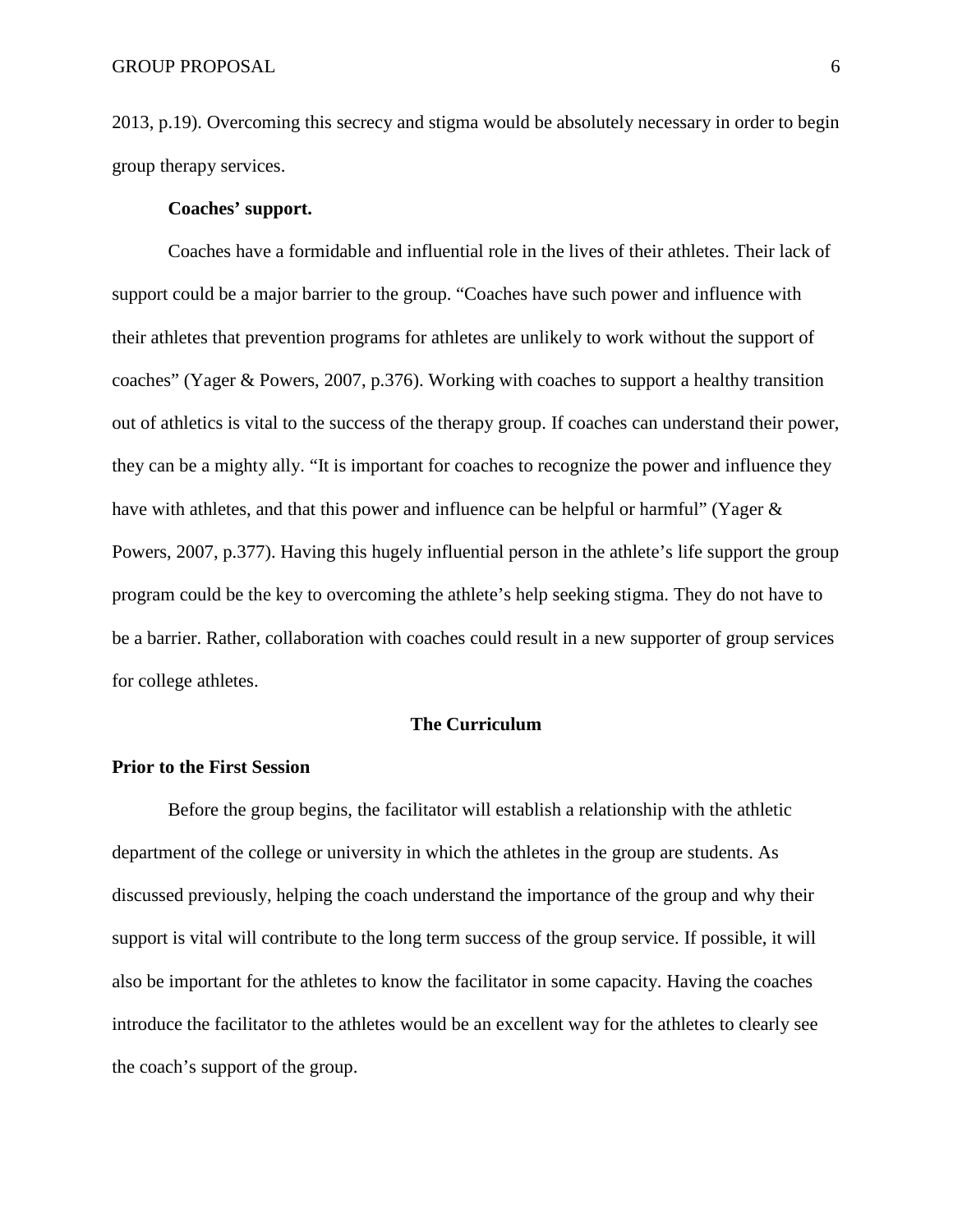2013, p.19). Overcoming this secrecy and stigma would be absolutely necessary in order to begin group therapy services.

## **Coaches' support.**

Coaches have a formidable and influential role in the lives of their athletes. Their lack of support could be a major barrier to the group. "Coaches have such power and influence with their athletes that prevention programs for athletes are unlikely to work without the support of coaches" (Yager & Powers, 2007, p.376). Working with coaches to support a healthy transition out of athletics is vital to the success of the therapy group. If coaches can understand their power, they can be a mighty ally. "It is important for coaches to recognize the power and influence they have with athletes, and that this power and influence can be helpful or harmful" (Yager & Powers, 2007, p.377). Having this hugely influential person in the athlete's life support the group program could be the key to overcoming the athlete's help seeking stigma. They do not have to be a barrier. Rather, collaboration with coaches could result in a new supporter of group services for college athletes.

### **The Curriculum**

#### **Prior to the First Session**

Before the group begins, the facilitator will establish a relationship with the athletic department of the college or university in which the athletes in the group are students. As discussed previously, helping the coach understand the importance of the group and why their support is vital will contribute to the long term success of the group service. If possible, it will also be important for the athletes to know the facilitator in some capacity. Having the coaches introduce the facilitator to the athletes would be an excellent way for the athletes to clearly see the coach's support of the group.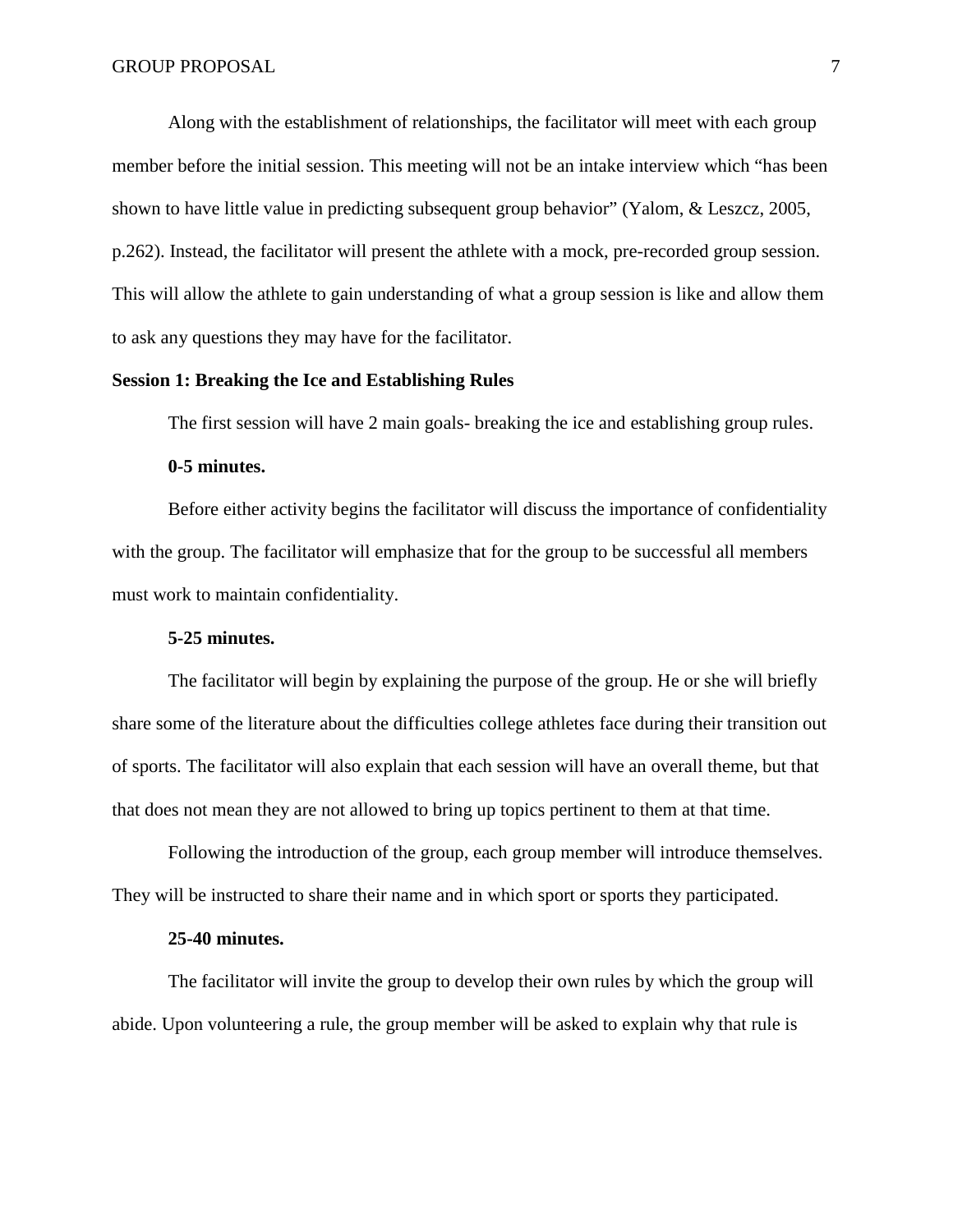Along with the establishment of relationships, the facilitator will meet with each group member before the initial session. This meeting will not be an intake interview which "has been shown to have little value in predicting subsequent group behavior" (Yalom, & Leszcz, 2005, p.262). Instead, the facilitator will present the athlete with a mock, pre-recorded group session. This will allow the athlete to gain understanding of what a group session is like and allow them to ask any questions they may have for the facilitator.

# **Session 1: Breaking the Ice and Establishing Rules**

The first session will have 2 main goals- breaking the ice and establishing group rules.

#### **0-5 minutes.**

Before either activity begins the facilitator will discuss the importance of confidentiality with the group. The facilitator will emphasize that for the group to be successful all members must work to maintain confidentiality.

#### **5-25 minutes.**

The facilitator will begin by explaining the purpose of the group. He or she will briefly share some of the literature about the difficulties college athletes face during their transition out of sports. The facilitator will also explain that each session will have an overall theme, but that that does not mean they are not allowed to bring up topics pertinent to them at that time.

Following the introduction of the group, each group member will introduce themselves. They will be instructed to share their name and in which sport or sports they participated.

### **25-40 minutes.**

The facilitator will invite the group to develop their own rules by which the group will abide. Upon volunteering a rule, the group member will be asked to explain why that rule is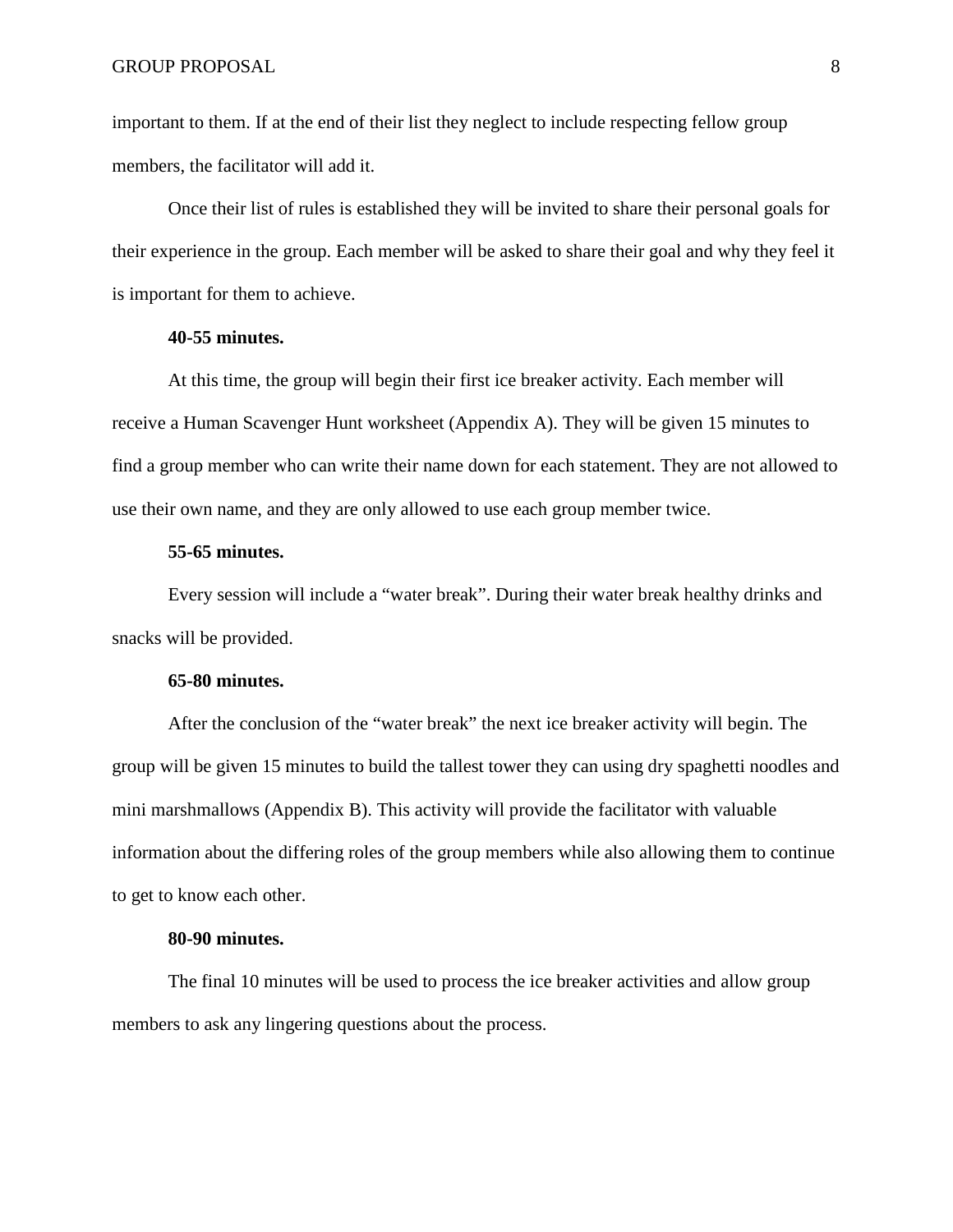important to them. If at the end of their list they neglect to include respecting fellow group members, the facilitator will add it.

Once their list of rules is established they will be invited to share their personal goals for their experience in the group. Each member will be asked to share their goal and why they feel it is important for them to achieve.

### **40-55 minutes.**

At this time, the group will begin their first ice breaker activity. Each member will receive a Human Scavenger Hunt worksheet (Appendix A). They will be given 15 minutes to find a group member who can write their name down for each statement. They are not allowed to use their own name, and they are only allowed to use each group member twice.

#### **55-65 minutes.**

Every session will include a "water break". During their water break healthy drinks and snacks will be provided.

## **65-80 minutes.**

After the conclusion of the "water break" the next ice breaker activity will begin. The group will be given 15 minutes to build the tallest tower they can using dry spaghetti noodles and mini marshmallows (Appendix B). This activity will provide the facilitator with valuable information about the differing roles of the group members while also allowing them to continue to get to know each other.

### **80-90 minutes.**

The final 10 minutes will be used to process the ice breaker activities and allow group members to ask any lingering questions about the process.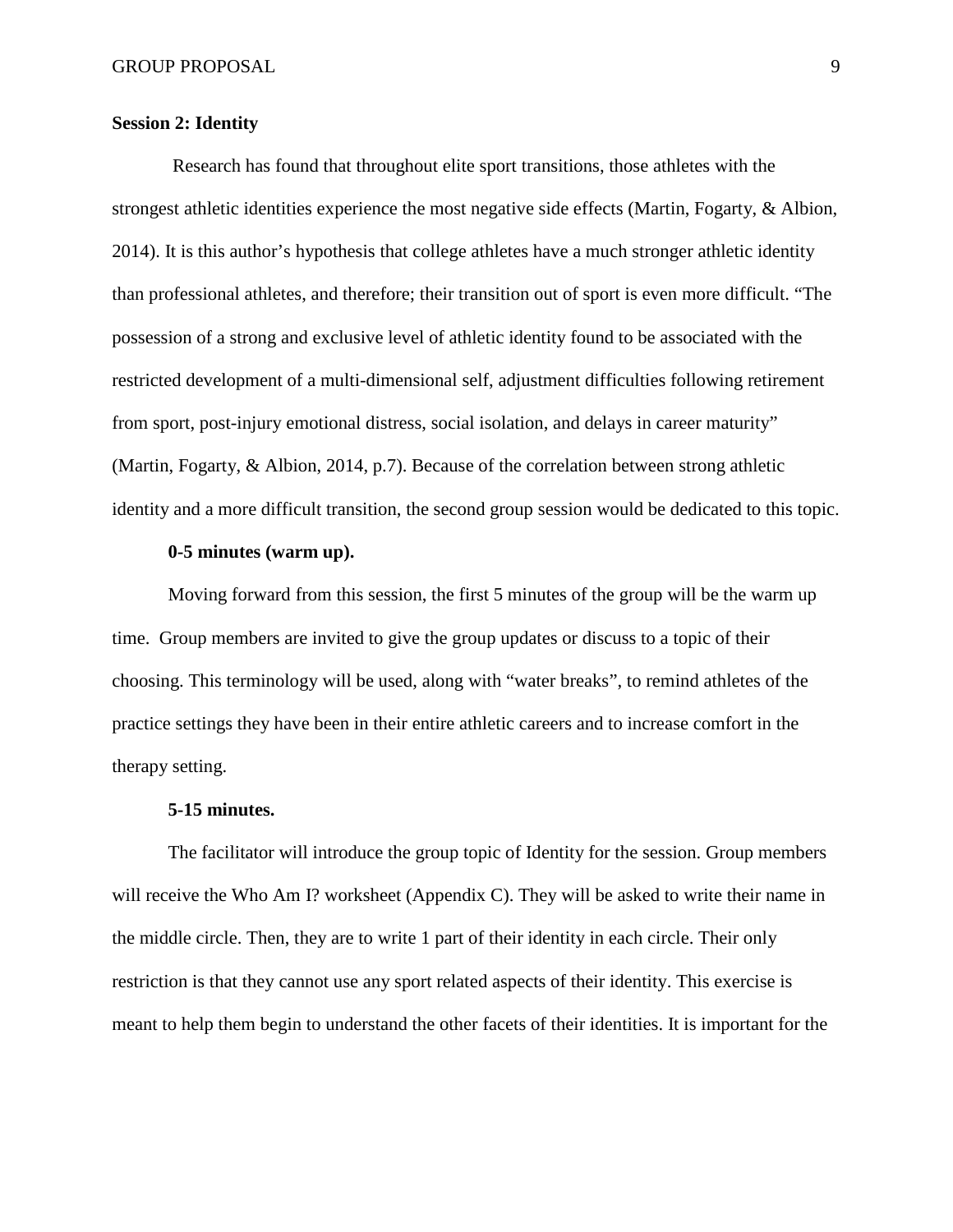## **Session 2: Identity**

Research has found that throughout elite sport transitions, those athletes with the strongest athletic identities experience the most negative side effects (Martin, Fogarty, & Albion, 2014). It is this author's hypothesis that college athletes have a much stronger athletic identity than professional athletes, and therefore; their transition out of sport is even more difficult. "The possession of a strong and exclusive level of athletic identity found to be associated with the restricted development of a multi-dimensional self, adjustment difficulties following retirement from sport, post-injury emotional distress, social isolation, and delays in career maturity" (Martin, Fogarty, & Albion, 2014, p.7). Because of the correlation between strong athletic identity and a more difficult transition, the second group session would be dedicated to this topic.

#### **0-5 minutes (warm up).**

Moving forward from this session, the first 5 minutes of the group will be the warm up time. Group members are invited to give the group updates or discuss to a topic of their choosing. This terminology will be used, along with "water breaks", to remind athletes of the practice settings they have been in their entire athletic careers and to increase comfort in the therapy setting.

#### **5-15 minutes.**

The facilitator will introduce the group topic of Identity for the session. Group members will receive the Who Am I? worksheet (Appendix C). They will be asked to write their name in the middle circle. Then, they are to write 1 part of their identity in each circle. Their only restriction is that they cannot use any sport related aspects of their identity. This exercise is meant to help them begin to understand the other facets of their identities. It is important for the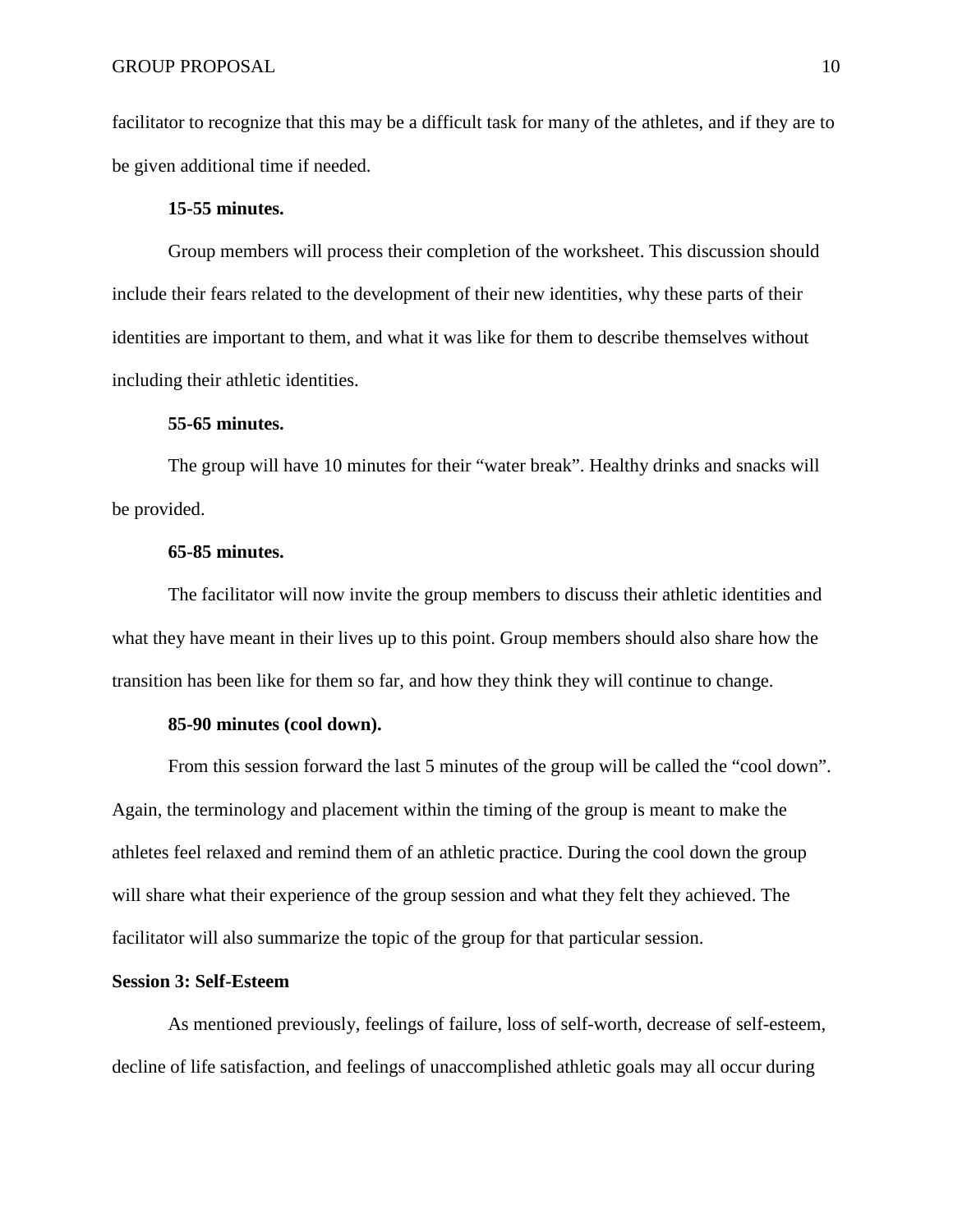facilitator to recognize that this may be a difficult task for many of the athletes, and if they are to be given additional time if needed.

## **15-55 minutes.**

Group members will process their completion of the worksheet. This discussion should include their fears related to the development of their new identities, why these parts of their identities are important to them, and what it was like for them to describe themselves without including their athletic identities.

### **55-65 minutes.**

The group will have 10 minutes for their "water break". Healthy drinks and snacks will be provided.

### **65-85 minutes.**

The facilitator will now invite the group members to discuss their athletic identities and what they have meant in their lives up to this point. Group members should also share how the transition has been like for them so far, and how they think they will continue to change.

## **85-90 minutes (cool down).**

From this session forward the last 5 minutes of the group will be called the "cool down". Again, the terminology and placement within the timing of the group is meant to make the athletes feel relaxed and remind them of an athletic practice. During the cool down the group will share what their experience of the group session and what they felt they achieved. The facilitator will also summarize the topic of the group for that particular session.

### **Session 3: Self-Esteem**

As mentioned previously, feelings of failure, loss of self-worth, decrease of self-esteem, decline of life satisfaction, and feelings of unaccomplished athletic goals may all occur during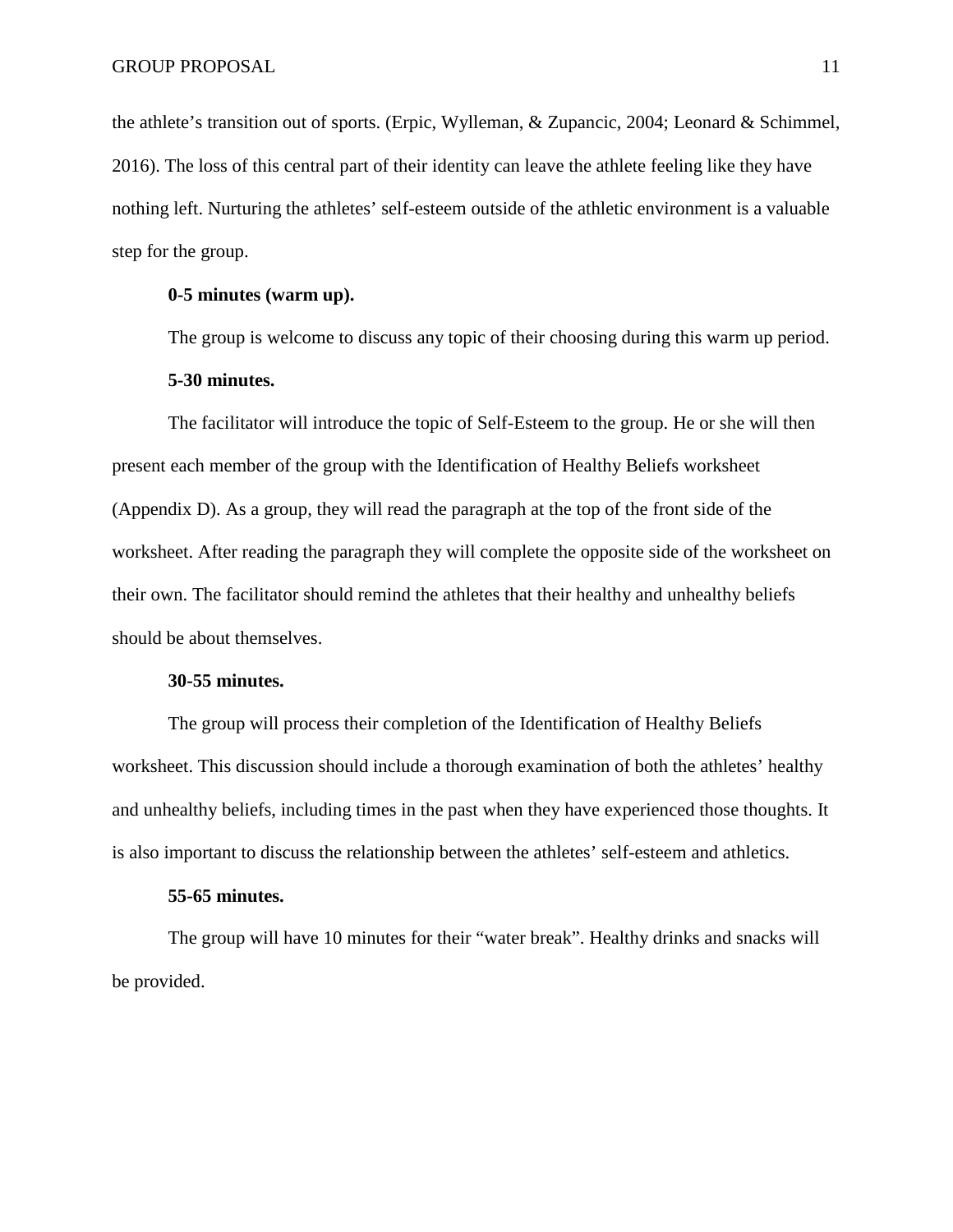the athlete's transition out of sports. (Erpic, Wylleman, & Zupancic, 2004; Leonard & Schimmel, 2016). The loss of this central part of their identity can leave the athlete feeling like they have nothing left. Nurturing the athletes' self-esteem outside of the athletic environment is a valuable step for the group.

### **0-5 minutes (warm up).**

The group is welcome to discuss any topic of their choosing during this warm up period.

## **5-30 minutes.**

The facilitator will introduce the topic of Self-Esteem to the group. He or she will then present each member of the group with the Identification of Healthy Beliefs worksheet (Appendix D). As a group, they will read the paragraph at the top of the front side of the worksheet. After reading the paragraph they will complete the opposite side of the worksheet on their own. The facilitator should remind the athletes that their healthy and unhealthy beliefs should be about themselves.

#### **30-55 minutes.**

The group will process their completion of the Identification of Healthy Beliefs worksheet. This discussion should include a thorough examination of both the athletes' healthy and unhealthy beliefs, including times in the past when they have experienced those thoughts. It is also important to discuss the relationship between the athletes' self-esteem and athletics.

#### **55-65 minutes.**

The group will have 10 minutes for their "water break". Healthy drinks and snacks will be provided.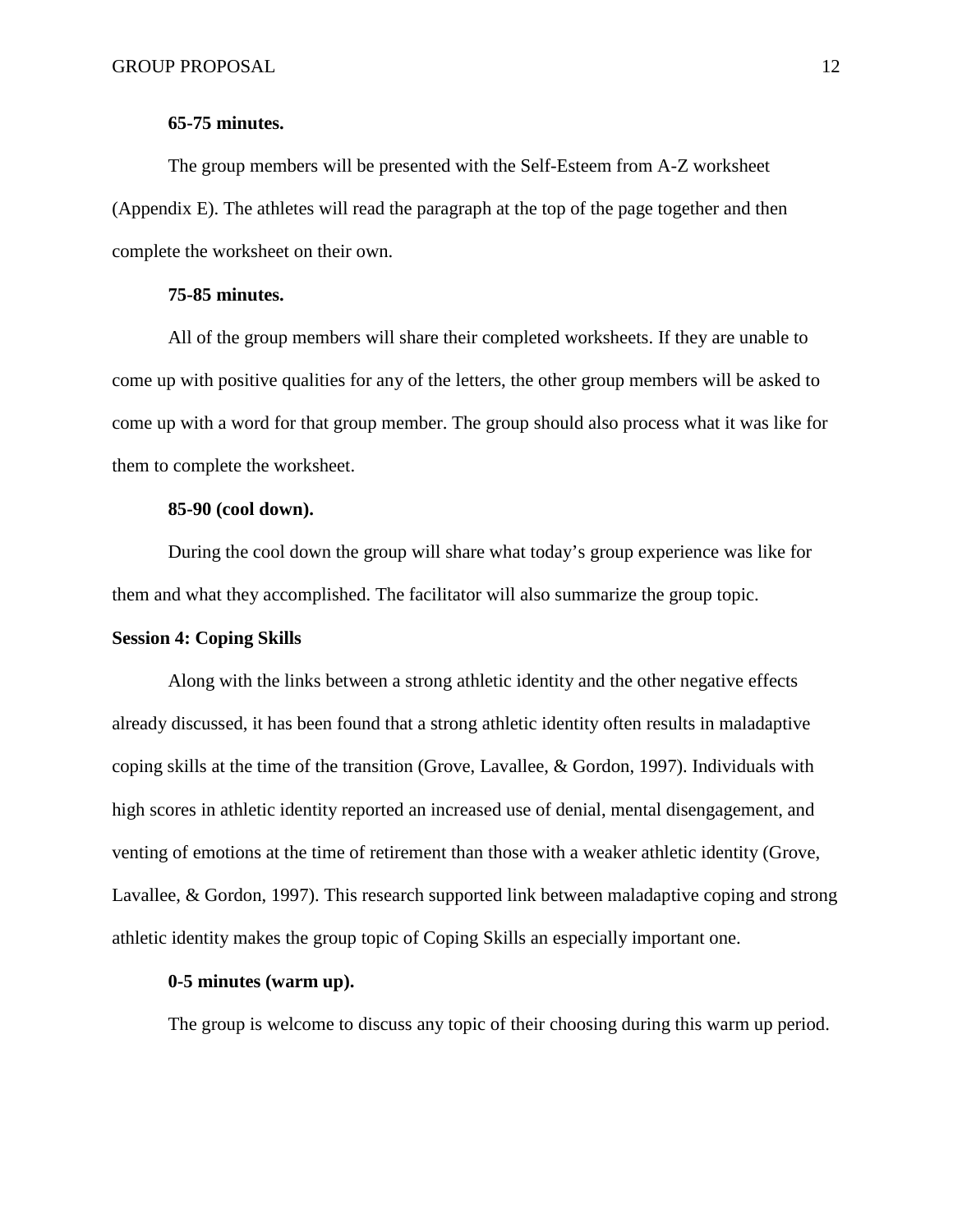## **65-75 minutes.**

The group members will be presented with the Self-Esteem from A-Z worksheet (Appendix E). The athletes will read the paragraph at the top of the page together and then complete the worksheet on their own.

### **75-85 minutes.**

All of the group members will share their completed worksheets. If they are unable to come up with positive qualities for any of the letters, the other group members will be asked to come up with a word for that group member. The group should also process what it was like for them to complete the worksheet.

### **85-90 (cool down).**

During the cool down the group will share what today's group experience was like for them and what they accomplished. The facilitator will also summarize the group topic.

#### **Session 4: Coping Skills**

Along with the links between a strong athletic identity and the other negative effects already discussed, it has been found that a strong athletic identity often results in maladaptive coping skills at the time of the transition (Grove, Lavallee, & Gordon, 1997). Individuals with high scores in athletic identity reported an increased use of denial, mental disengagement, and venting of emotions at the time of retirement than those with a weaker athletic identity (Grove, Lavallee, & Gordon, 1997). This research supported link between maladaptive coping and strong athletic identity makes the group topic of Coping Skills an especially important one.

## **0-5 minutes (warm up).**

The group is welcome to discuss any topic of their choosing during this warm up period.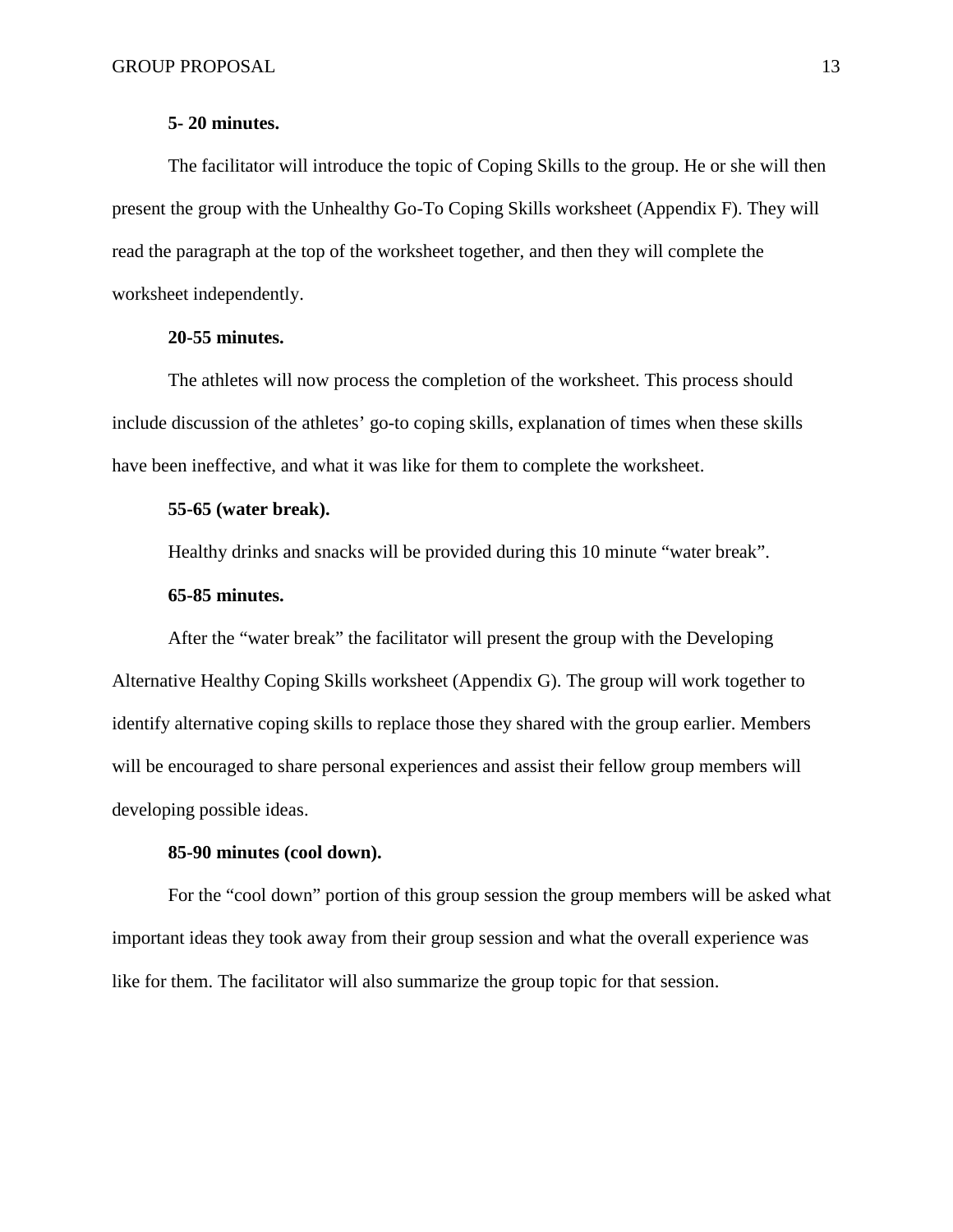### **5- 20 minutes.**

The facilitator will introduce the topic of Coping Skills to the group. He or she will then present the group with the Unhealthy Go-To Coping Skills worksheet (Appendix F). They will read the paragraph at the top of the worksheet together, and then they will complete the worksheet independently.

### **20-55 minutes.**

The athletes will now process the completion of the worksheet. This process should include discussion of the athletes' go-to coping skills, explanation of times when these skills have been ineffective, and what it was like for them to complete the worksheet.

### **55-65 (water break).**

Healthy drinks and snacks will be provided during this 10 minute "water break".

### **65-85 minutes.**

After the "water break" the facilitator will present the group with the Developing Alternative Healthy Coping Skills worksheet (Appendix G). The group will work together to identify alternative coping skills to replace those they shared with the group earlier. Members will be encouraged to share personal experiences and assist their fellow group members will developing possible ideas.

## **85-90 minutes (cool down).**

For the "cool down" portion of this group session the group members will be asked what important ideas they took away from their group session and what the overall experience was like for them. The facilitator will also summarize the group topic for that session.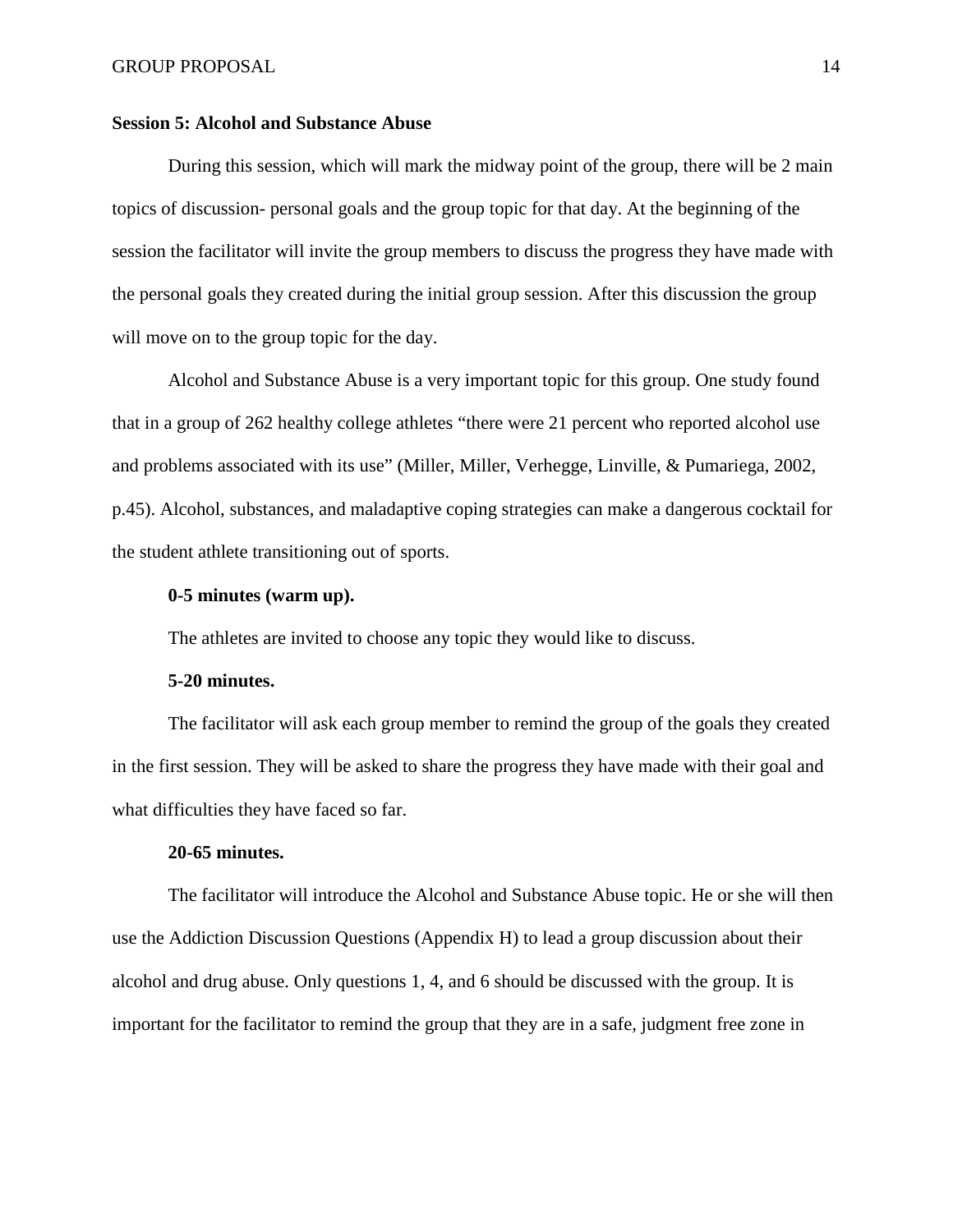## **Session 5: Alcohol and Substance Abuse**

During this session, which will mark the midway point of the group, there will be 2 main topics of discussion- personal goals and the group topic for that day. At the beginning of the session the facilitator will invite the group members to discuss the progress they have made with the personal goals they created during the initial group session. After this discussion the group will move on to the group topic for the day.

Alcohol and Substance Abuse is a very important topic for this group. One study found that in a group of 262 healthy college athletes "there were 21 percent who reported alcohol use and problems associated with its use" (Miller, Miller, Verhegge, Linville, & Pumariega, 2002, p.45). Alcohol, substances, and maladaptive coping strategies can make a dangerous cocktail for the student athlete transitioning out of sports.

### **0-5 minutes (warm up).**

The athletes are invited to choose any topic they would like to discuss.

#### **5-20 minutes.**

The facilitator will ask each group member to remind the group of the goals they created in the first session. They will be asked to share the progress they have made with their goal and what difficulties they have faced so far.

#### **20-65 minutes.**

The facilitator will introduce the Alcohol and Substance Abuse topic. He or she will then use the Addiction Discussion Questions (Appendix H) to lead a group discussion about their alcohol and drug abuse. Only questions 1, 4, and 6 should be discussed with the group. It is important for the facilitator to remind the group that they are in a safe, judgment free zone in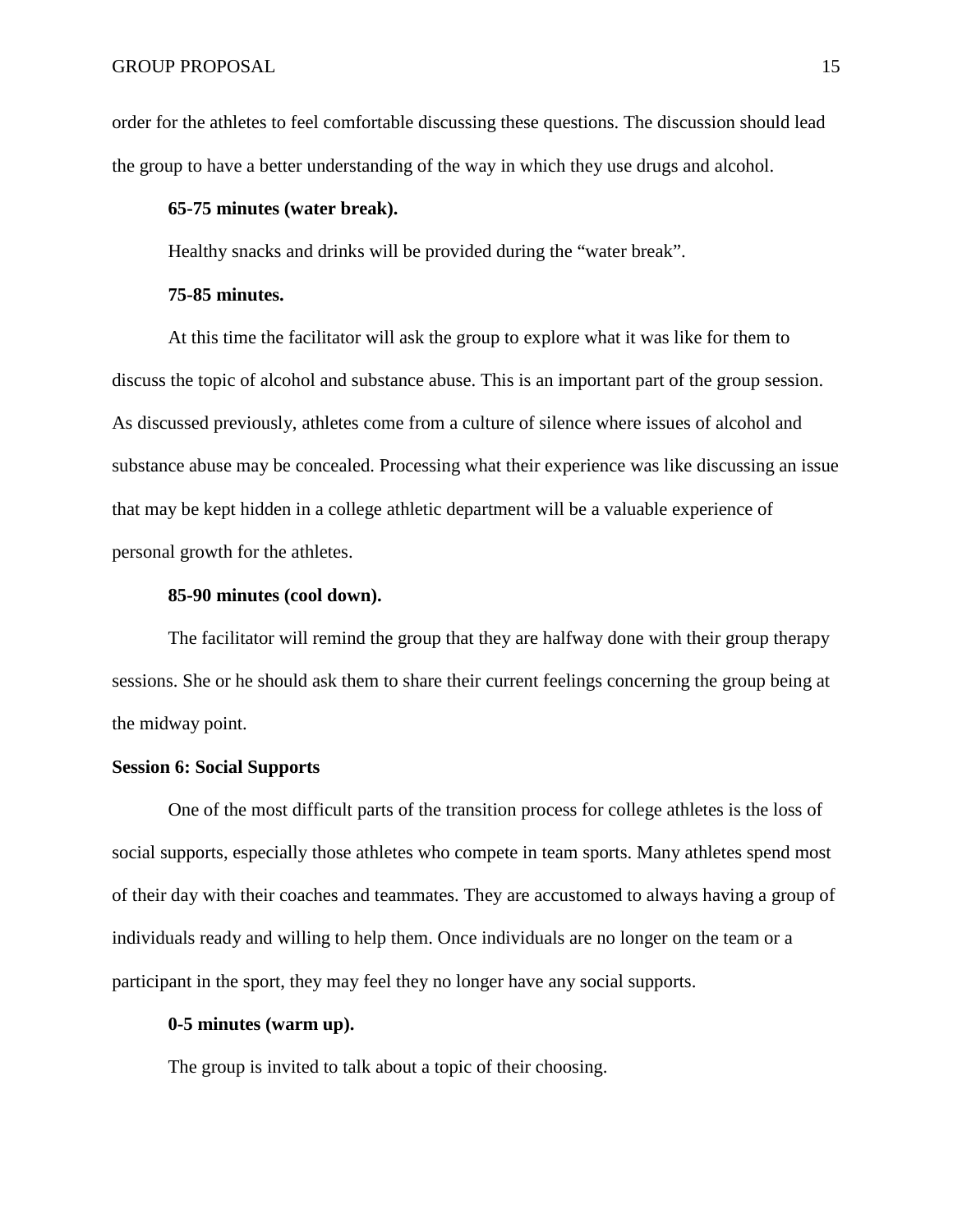order for the athletes to feel comfortable discussing these questions. The discussion should lead the group to have a better understanding of the way in which they use drugs and alcohol.

## **65-75 minutes (water break).**

Healthy snacks and drinks will be provided during the "water break".

#### **75-85 minutes.**

At this time the facilitator will ask the group to explore what it was like for them to discuss the topic of alcohol and substance abuse. This is an important part of the group session. As discussed previously, athletes come from a culture of silence where issues of alcohol and substance abuse may be concealed. Processing what their experience was like discussing an issue that may be kept hidden in a college athletic department will be a valuable experience of personal growth for the athletes.

### **85-90 minutes (cool down).**

The facilitator will remind the group that they are halfway done with their group therapy sessions. She or he should ask them to share their current feelings concerning the group being at the midway point.

### **Session 6: Social Supports**

One of the most difficult parts of the transition process for college athletes is the loss of social supports, especially those athletes who compete in team sports. Many athletes spend most of their day with their coaches and teammates. They are accustomed to always having a group of individuals ready and willing to help them. Once individuals are no longer on the team or a participant in the sport, they may feel they no longer have any social supports.

## **0-5 minutes (warm up).**

The group is invited to talk about a topic of their choosing.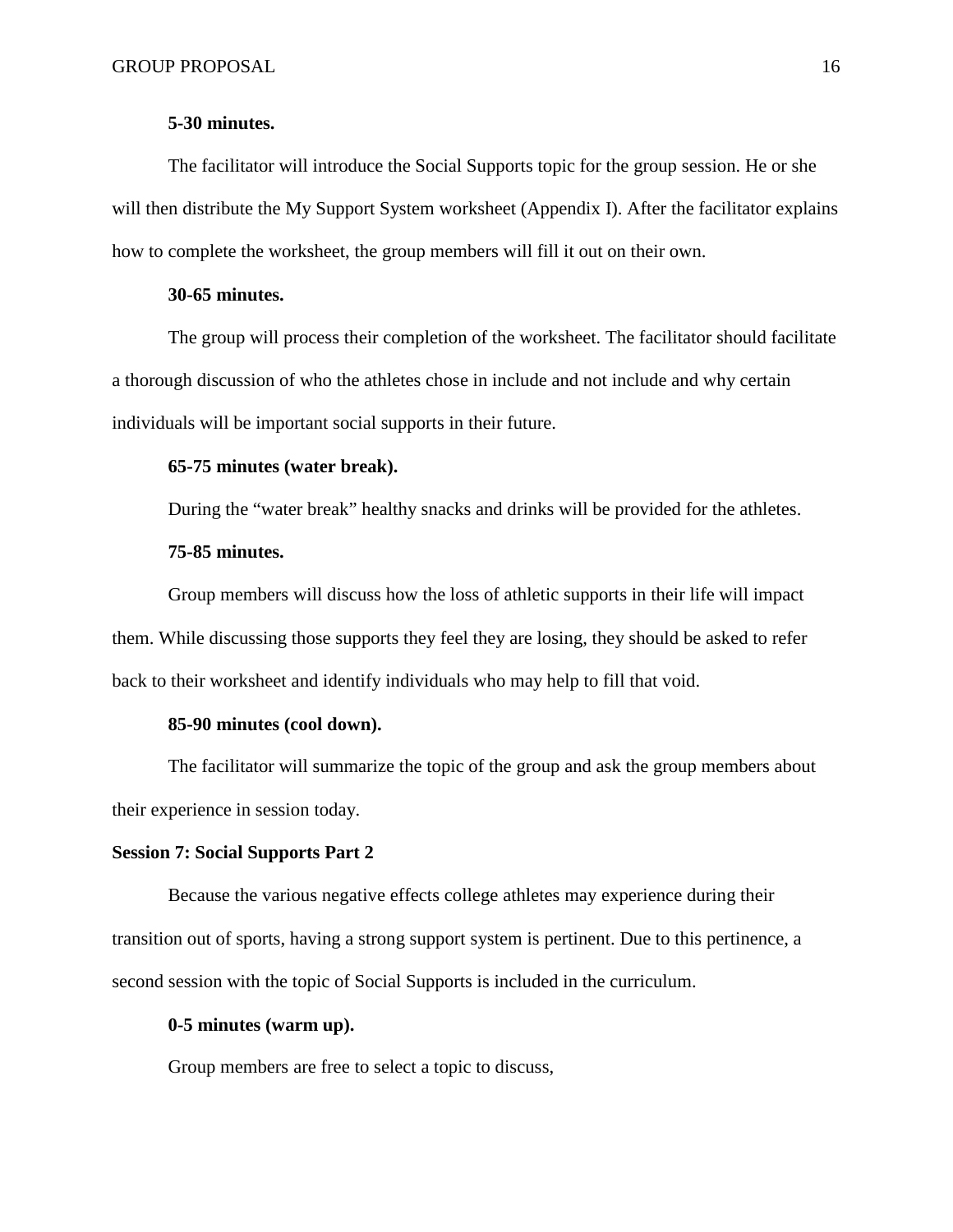## **5-30 minutes.**

The facilitator will introduce the Social Supports topic for the group session. He or she will then distribute the My Support System worksheet (Appendix I). After the facilitator explains how to complete the worksheet, the group members will fill it out on their own.

### **30-65 minutes.**

The group will process their completion of the worksheet. The facilitator should facilitate a thorough discussion of who the athletes chose in include and not include and why certain individuals will be important social supports in their future.

### **65-75 minutes (water break).**

During the "water break" healthy snacks and drinks will be provided for the athletes.

#### **75-85 minutes.**

Group members will discuss how the loss of athletic supports in their life will impact them. While discussing those supports they feel they are losing, they should be asked to refer back to their worksheet and identify individuals who may help to fill that void.

## **85-90 minutes (cool down).**

The facilitator will summarize the topic of the group and ask the group members about their experience in session today.

## **Session 7: Social Supports Part 2**

Because the various negative effects college athletes may experience during their transition out of sports, having a strong support system is pertinent. Due to this pertinence, a second session with the topic of Social Supports is included in the curriculum.

#### **0-5 minutes (warm up).**

Group members are free to select a topic to discuss,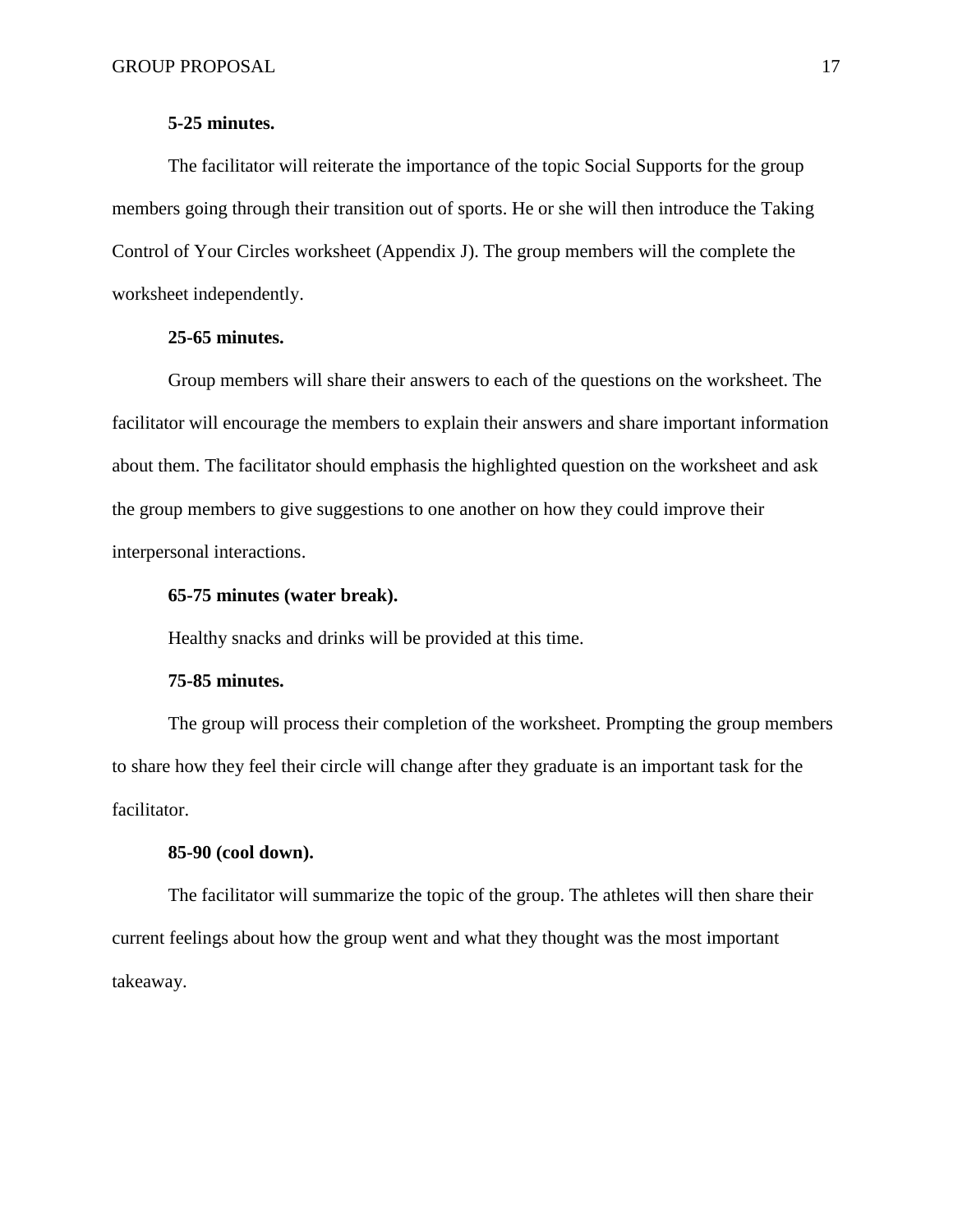### **5-25 minutes.**

The facilitator will reiterate the importance of the topic Social Supports for the group members going through their transition out of sports. He or she will then introduce the Taking Control of Your Circles worksheet (Appendix J). The group members will the complete the worksheet independently.

## **25-65 minutes.**

Group members will share their answers to each of the questions on the worksheet. The facilitator will encourage the members to explain their answers and share important information about them. The facilitator should emphasis the highlighted question on the worksheet and ask the group members to give suggestions to one another on how they could improve their interpersonal interactions.

### **65-75 minutes (water break).**

Healthy snacks and drinks will be provided at this time.

#### **75-85 minutes.**

The group will process their completion of the worksheet. Prompting the group members to share how they feel their circle will change after they graduate is an important task for the facilitator.

## **85-90 (cool down).**

The facilitator will summarize the topic of the group. The athletes will then share their current feelings about how the group went and what they thought was the most important takeaway.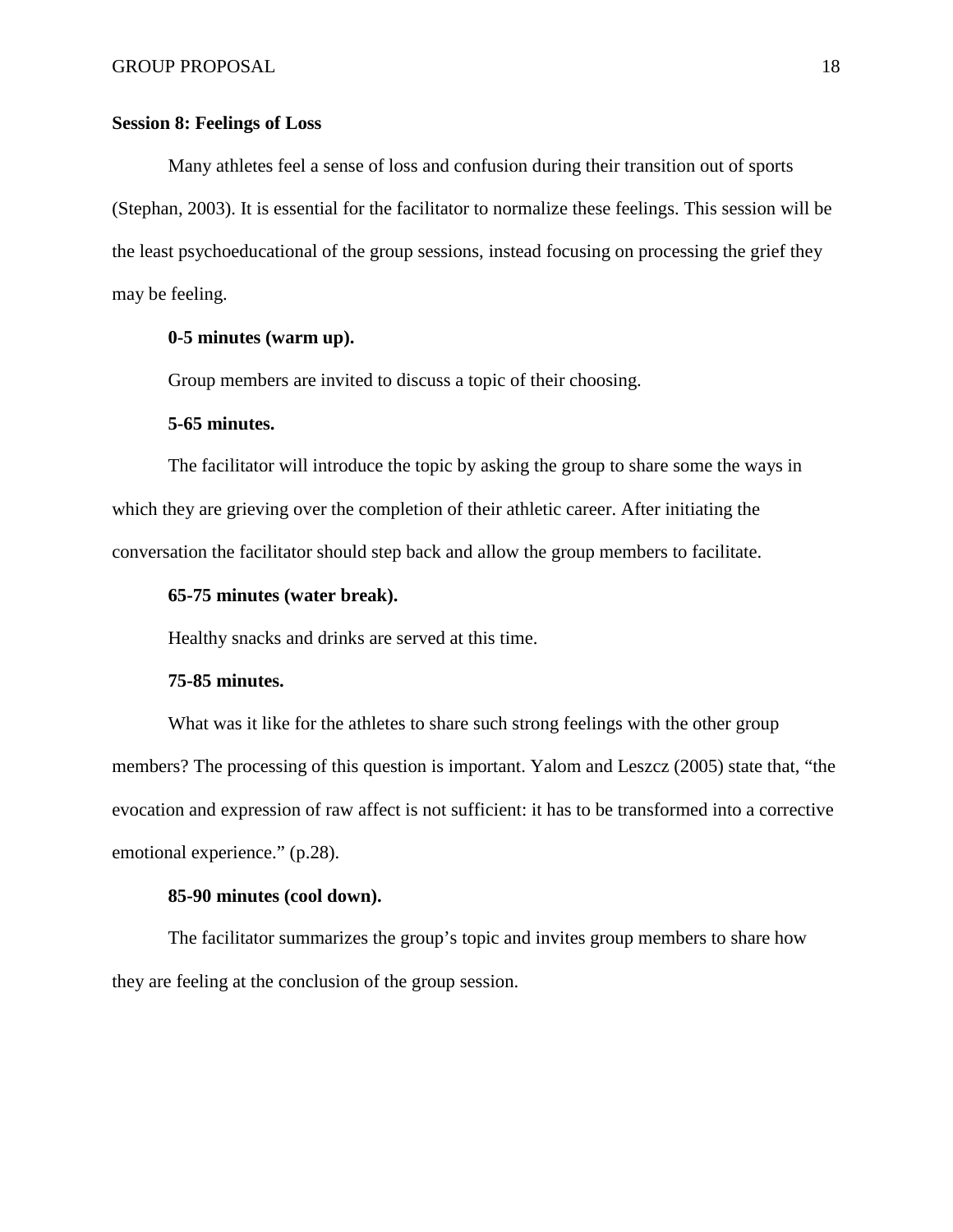## **Session 8: Feelings of Loss**

Many athletes feel a sense of loss and confusion during their transition out of sports (Stephan, 2003). It is essential for the facilitator to normalize these feelings. This session will be the least psychoeducational of the group sessions, instead focusing on processing the grief they may be feeling.

## **0-5 minutes (warm up).**

Group members are invited to discuss a topic of their choosing.

#### **5-65 minutes.**

The facilitator will introduce the topic by asking the group to share some the ways in which they are grieving over the completion of their athletic career. After initiating the conversation the facilitator should step back and allow the group members to facilitate.

### **65-75 minutes (water break).**

Healthy snacks and drinks are served at this time.

#### **75-85 minutes.**

What was it like for the athletes to share such strong feelings with the other group members? The processing of this question is important. Yalom and Leszcz (2005) state that, "the evocation and expression of raw affect is not sufficient: it has to be transformed into a corrective emotional experience." (p.28).

## **85-90 minutes (cool down).**

The facilitator summarizes the group's topic and invites group members to share how they are feeling at the conclusion of the group session.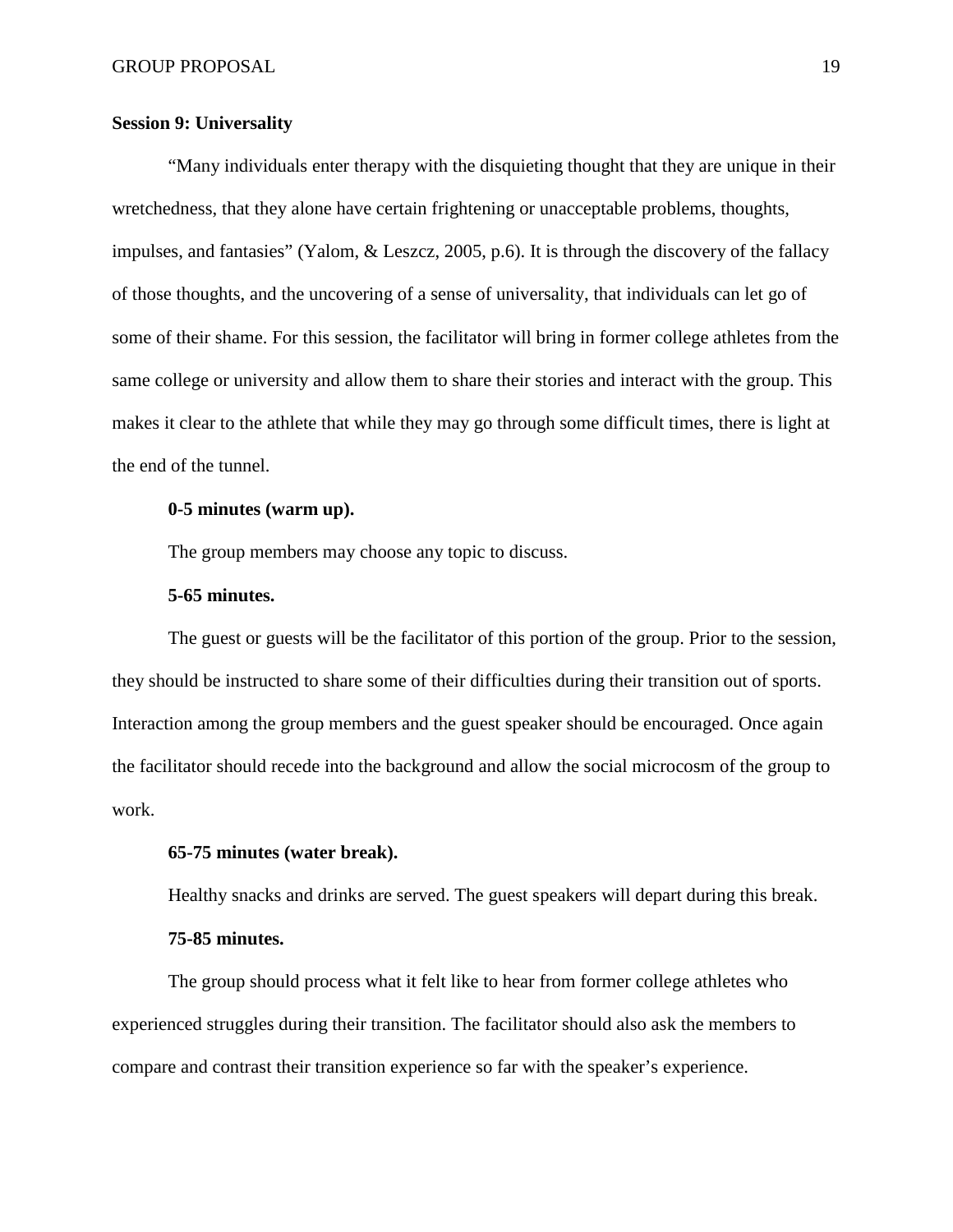## **Session 9: Universality**

"Many individuals enter therapy with the disquieting thought that they are unique in their wretchedness, that they alone have certain frightening or unacceptable problems, thoughts, impulses, and fantasies" (Yalom, & Leszcz, 2005, p.6). It is through the discovery of the fallacy of those thoughts, and the uncovering of a sense of universality, that individuals can let go of some of their shame. For this session, the facilitator will bring in former college athletes from the same college or university and allow them to share their stories and interact with the group. This makes it clear to the athlete that while they may go through some difficult times, there is light at the end of the tunnel.

### **0-5 minutes (warm up).**

The group members may choose any topic to discuss.

### **5-65 minutes.**

The guest or guests will be the facilitator of this portion of the group. Prior to the session, they should be instructed to share some of their difficulties during their transition out of sports. Interaction among the group members and the guest speaker should be encouraged. Once again the facilitator should recede into the background and allow the social microcosm of the group to work.

## **65-75 minutes (water break).**

Healthy snacks and drinks are served. The guest speakers will depart during this break.

### **75-85 minutes.**

The group should process what it felt like to hear from former college athletes who experienced struggles during their transition. The facilitator should also ask the members to compare and contrast their transition experience so far with the speaker's experience.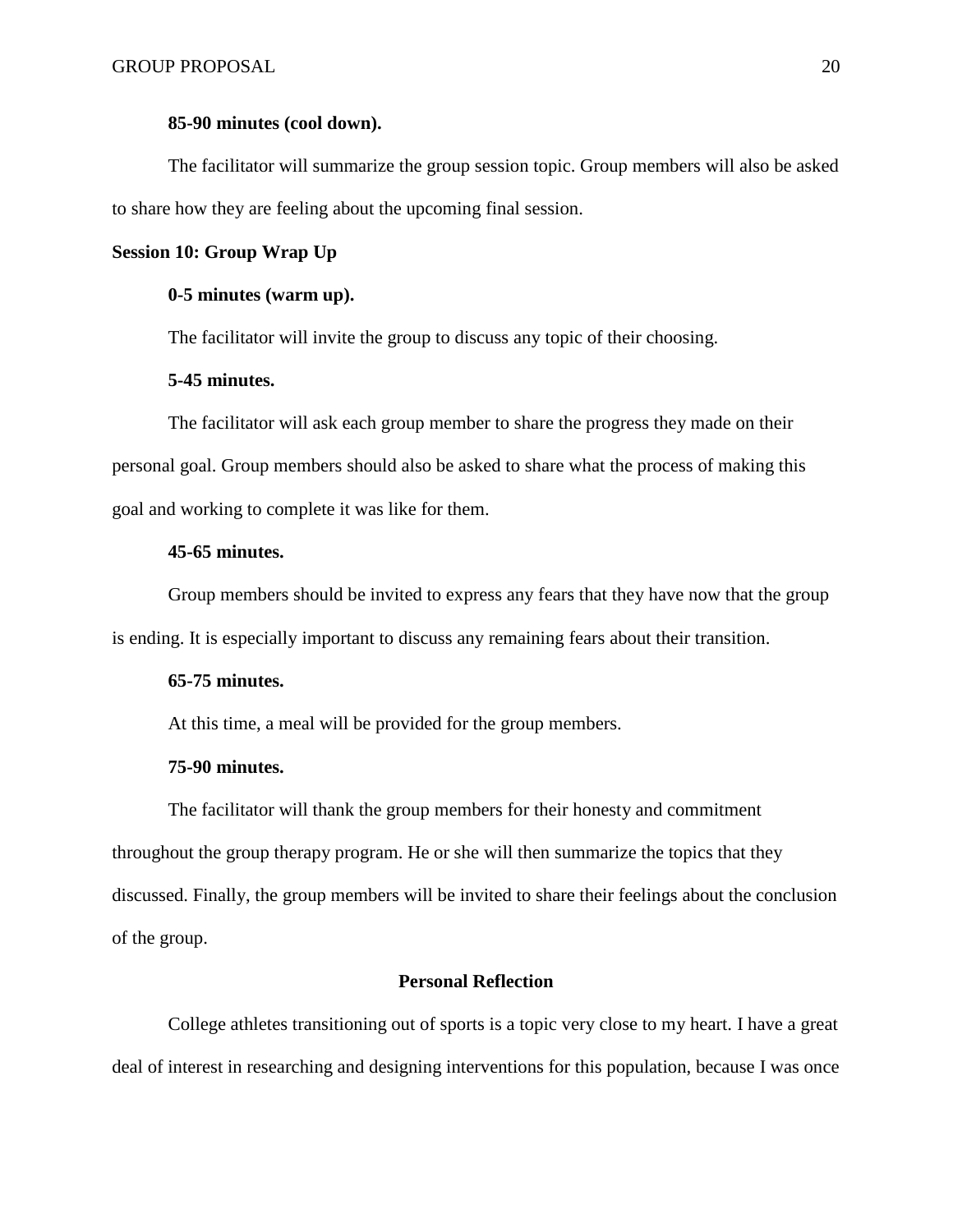#### **85-90 minutes (cool down).**

The facilitator will summarize the group session topic. Group members will also be asked to share how they are feeling about the upcoming final session.

## **Session 10: Group Wrap Up**

### **0-5 minutes (warm up).**

The facilitator will invite the group to discuss any topic of their choosing.

# **5-45 minutes.**

The facilitator will ask each group member to share the progress they made on their personal goal. Group members should also be asked to share what the process of making this goal and working to complete it was like for them.

### **45-65 minutes.**

Group members should be invited to express any fears that they have now that the group is ending. It is especially important to discuss any remaining fears about their transition.

#### **65-75 minutes.**

At this time, a meal will be provided for the group members.

# **75-90 minutes.**

The facilitator will thank the group members for their honesty and commitment throughout the group therapy program. He or she will then summarize the topics that they discussed. Finally, the group members will be invited to share their feelings about the conclusion of the group.

## **Personal Reflection**

College athletes transitioning out of sports is a topic very close to my heart. I have a great deal of interest in researching and designing interventions for this population, because I was once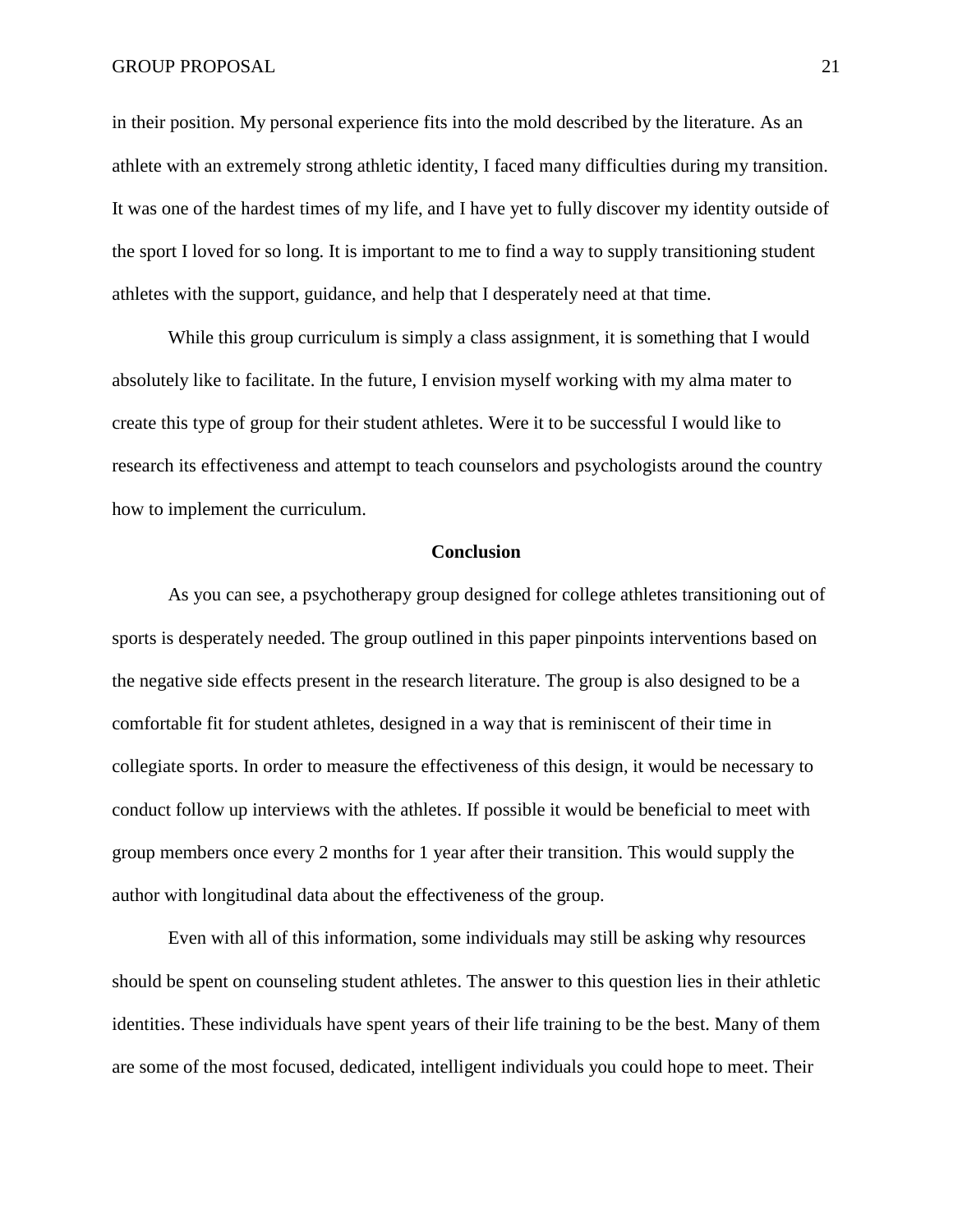#### GROUP PROPOSAL 21

in their position. My personal experience fits into the mold described by the literature. As an athlete with an extremely strong athletic identity, I faced many difficulties during my transition. It was one of the hardest times of my life, and I have yet to fully discover my identity outside of the sport I loved for so long. It is important to me to find a way to supply transitioning student athletes with the support, guidance, and help that I desperately need at that time.

While this group curriculum is simply a class assignment, it is something that I would absolutely like to facilitate. In the future, I envision myself working with my alma mater to create this type of group for their student athletes. Were it to be successful I would like to research its effectiveness and attempt to teach counselors and psychologists around the country how to implement the curriculum.

#### **Conclusion**

As you can see, a psychotherapy group designed for college athletes transitioning out of sports is desperately needed. The group outlined in this paper pinpoints interventions based on the negative side effects present in the research literature. The group is also designed to be a comfortable fit for student athletes, designed in a way that is reminiscent of their time in collegiate sports. In order to measure the effectiveness of this design, it would be necessary to conduct follow up interviews with the athletes. If possible it would be beneficial to meet with group members once every 2 months for 1 year after their transition. This would supply the author with longitudinal data about the effectiveness of the group.

Even with all of this information, some individuals may still be asking why resources should be spent on counseling student athletes. The answer to this question lies in their athletic identities. These individuals have spent years of their life training to be the best. Many of them are some of the most focused, dedicated, intelligent individuals you could hope to meet. Their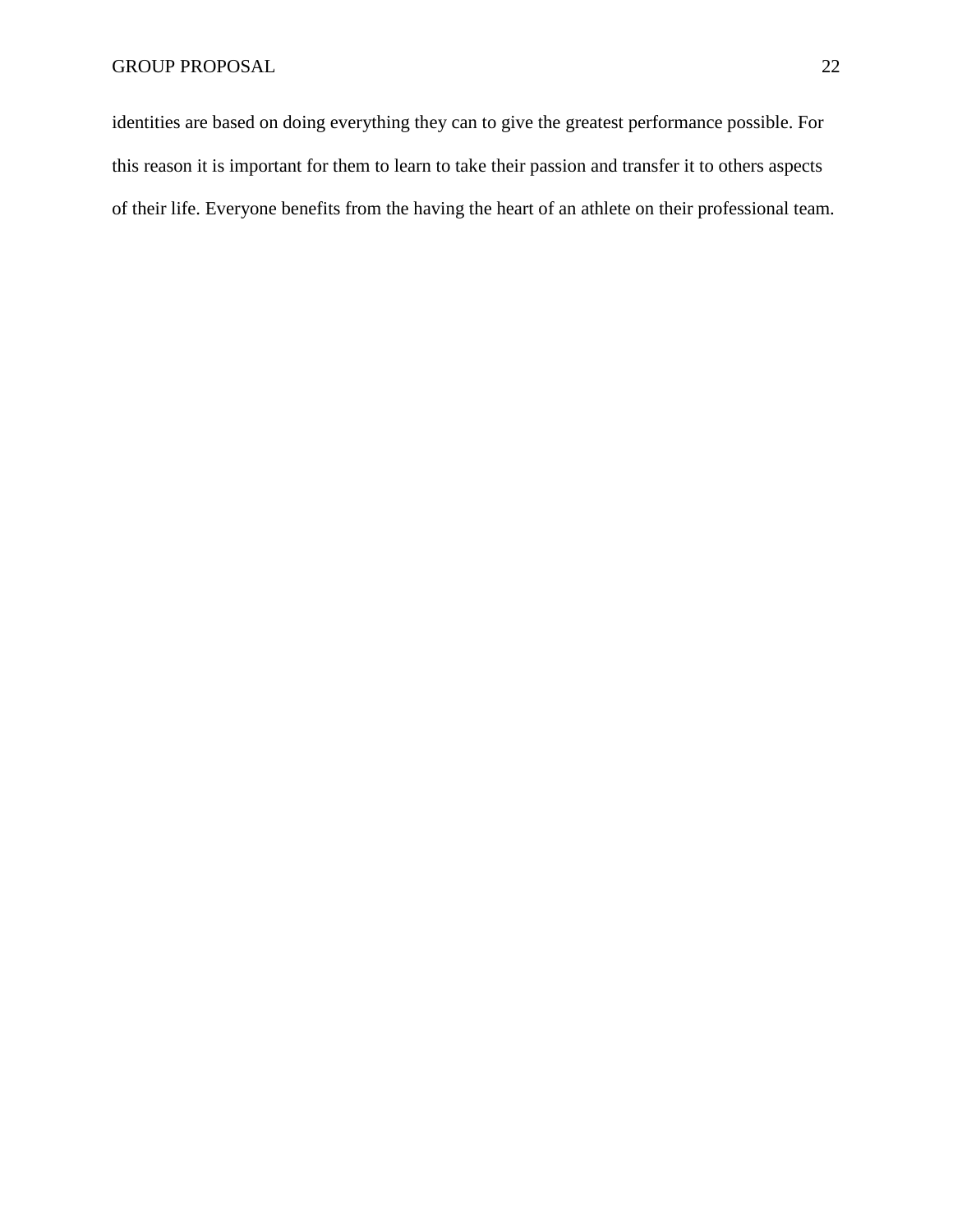identities are based on doing everything they can to give the greatest performance possible. For this reason it is important for them to learn to take their passion and transfer it to others aspects of their life. Everyone benefits from the having the heart of an athlete on their professional team.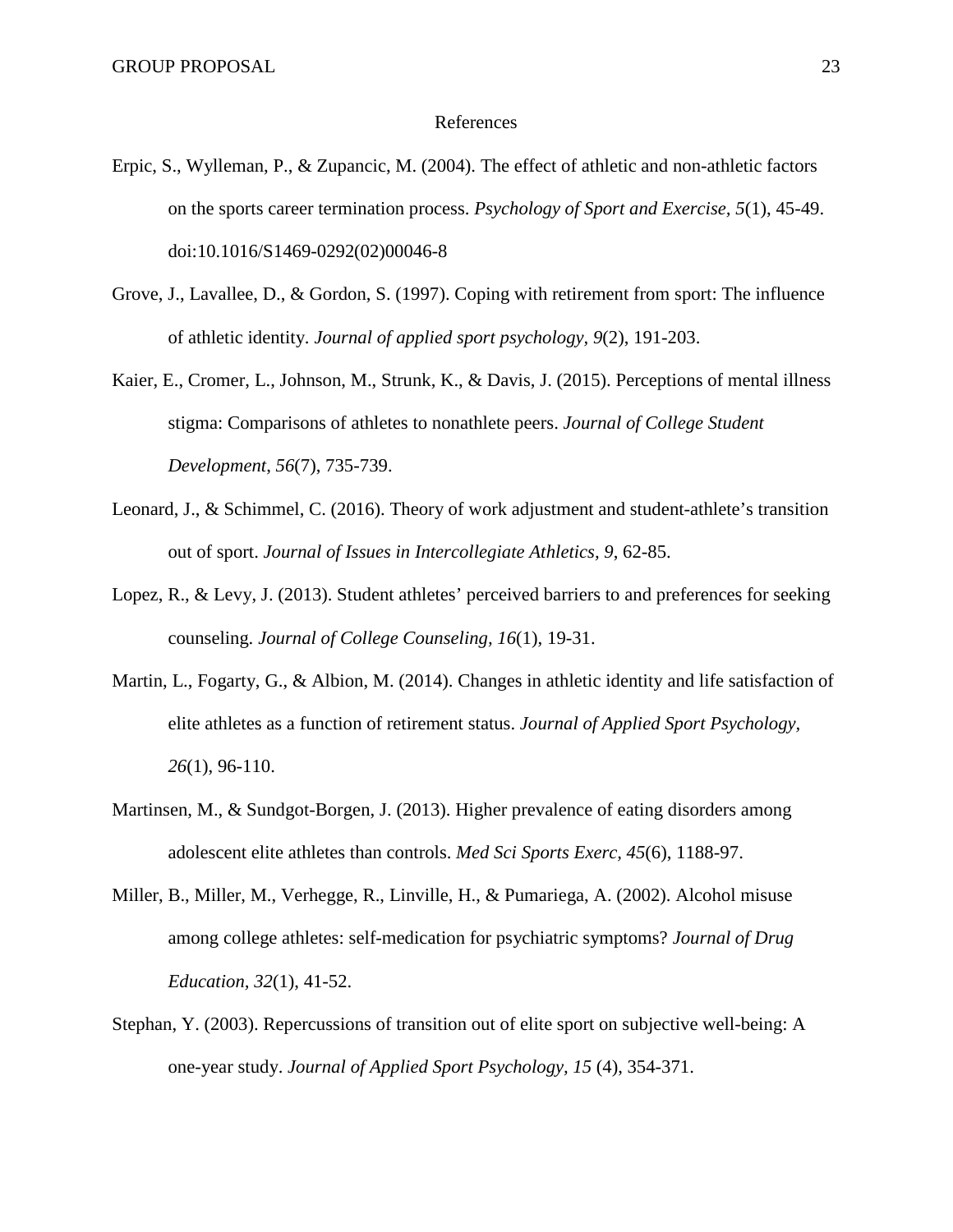#### References

- Erpic, S., Wylleman, P., & Zupancic, M. (2004). The effect of athletic and non-athletic factors on the sports career termination process. *Psychology of Sport and Exercise, 5*(1), 45-49. doi:10.1016/S1469-0292(02)00046-8
- Grove, J., Lavallee, D., & Gordon, S. (1997). Coping with retirement from sport: The influence of athletic identity. *Journal of applied sport psychology, 9*(2), 191-203.
- Kaier, E., Cromer, L., Johnson, M., Strunk, K., & Davis, J. (2015). Perceptions of mental illness stigma: Comparisons of athletes to nonathlete peers. *Journal of College Student Development*, *56*(7), 735-739.
- Leonard, J., & Schimmel, C. (2016). Theory of work adjustment and student-athlete's transition out of sport. *Journal of Issues in Intercollegiate Athletics, 9*, 62-85.
- Lopez, R., & Levy, J. (2013). Student athletes' perceived barriers to and preferences for seeking counseling. *Journal of College Counseling, 16*(1), 19-31.
- Martin, L., Fogarty, G., & Albion, M. (2014). Changes in athletic identity and life satisfaction of elite athletes as a function of retirement status. *Journal of Applied Sport Psychology, 26*(1), 96-110.
- Martinsen, M., & Sundgot-Borgen, J. (2013). Higher prevalence of eating disorders among adolescent elite athletes than controls. *Med Sci Sports Exerc, 45*(6), 1188-97.
- Miller, B., Miller, M., Verhegge, R., Linville, H., & Pumariega, A. (2002). Alcohol misuse among college athletes: self-medication for psychiatric symptoms? *Journal of Drug Education, 32*(1), 41-52.
- Stephan, Y. (2003). Repercussions of transition out of elite sport on subjective well-being: A one-year study. *Journal of Applied Sport Psychology, 15* (4), 354-371.